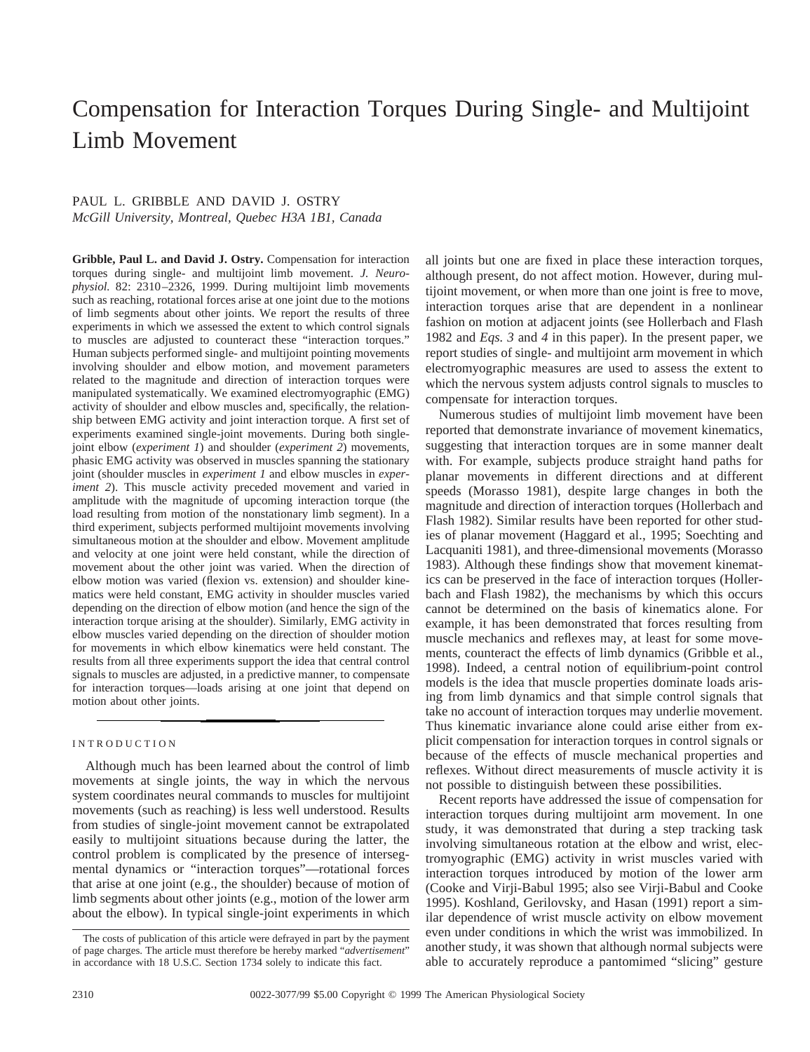# Compensation for Interaction Torques During Single- and Multijoint Limb Movement

# PAUL L. GRIBBLE AND DAVID J. OSTRY *McGill University, Montreal, Quebec H3A 1B1, Canada*

**Gribble, Paul L. and David J. Ostry.** Compensation for interaction torques during single- and multijoint limb movement. *J. Neurophysiol.* 82: 2310–2326, 1999. During multijoint limb movements such as reaching, rotational forces arise at one joint due to the motions of limb segments about other joints. We report the results of three experiments in which we assessed the extent to which control signals to muscles are adjusted to counteract these "interaction torques." Human subjects performed single- and multijoint pointing movements involving shoulder and elbow motion, and movement parameters related to the magnitude and direction of interaction torques were manipulated systematically. We examined electromyographic (EMG) activity of shoulder and elbow muscles and, specifically, the relationship between EMG activity and joint interaction torque. A first set of experiments examined single-joint movements. During both singlejoint elbow (*experiment 1*) and shoulder (*experiment 2*) movements, phasic EMG activity was observed in muscles spanning the stationary joint (shoulder muscles in *experiment 1* and elbow muscles in *experiment 2*). This muscle activity preceded movement and varied in amplitude with the magnitude of upcoming interaction torque (the load resulting from motion of the nonstationary limb segment). In a third experiment, subjects performed multijoint movements involving simultaneous motion at the shoulder and elbow. Movement amplitude and velocity at one joint were held constant, while the direction of movement about the other joint was varied. When the direction of elbow motion was varied (flexion vs. extension) and shoulder kinematics were held constant, EMG activity in shoulder muscles varied depending on the direction of elbow motion (and hence the sign of the interaction torque arising at the shoulder). Similarly, EMG activity in elbow muscles varied depending on the direction of shoulder motion for movements in which elbow kinematics were held constant. The results from all three experiments support the idea that central control signals to muscles are adjusted, in a predictive manner, to compensate for interaction torques—loads arising at one joint that depend on motion about other joints.

## INTRODUCTION

Although much has been learned about the control of limb movements at single joints, the way in which the nervous system coordinates neural commands to muscles for multijoint movements (such as reaching) is less well understood. Results from studies of single-joint movement cannot be extrapolated easily to multijoint situations because during the latter, the control problem is complicated by the presence of intersegmental dynamics or "interaction torques"—rotational forces that arise at one joint (e.g., the shoulder) because of motion of limb segments about other joints (e.g., motion of the lower arm about the elbow). In typical single-joint experiments in which all joints but one are fixed in place these interaction torques, although present, do not affect motion. However, during multijoint movement, or when more than one joint is free to move, interaction torques arise that are dependent in a nonlinear fashion on motion at adjacent joints (see Hollerbach and Flash 1982 and *Eqs. 3* and *4* in this paper). In the present paper, we report studies of single- and multijoint arm movement in which electromyographic measures are used to assess the extent to which the nervous system adjusts control signals to muscles to compensate for interaction torques.

Numerous studies of multijoint limb movement have been reported that demonstrate invariance of movement kinematics, suggesting that interaction torques are in some manner dealt with. For example, subjects produce straight hand paths for planar movements in different directions and at different speeds (Morasso 1981), despite large changes in both the magnitude and direction of interaction torques (Hollerbach and Flash 1982). Similar results have been reported for other studies of planar movement (Haggard et al., 1995; Soechting and Lacquaniti 1981), and three-dimensional movements (Morasso 1983). Although these findings show that movement kinematics can be preserved in the face of interaction torques (Hollerbach and Flash 1982), the mechanisms by which this occurs cannot be determined on the basis of kinematics alone. For example, it has been demonstrated that forces resulting from muscle mechanics and reflexes may, at least for some movements, counteract the effects of limb dynamics (Gribble et al., 1998). Indeed, a central notion of equilibrium-point control models is the idea that muscle properties dominate loads arising from limb dynamics and that simple control signals that take no account of interaction torques may underlie movement. Thus kinematic invariance alone could arise either from explicit compensation for interaction torques in control signals or because of the effects of muscle mechanical properties and reflexes. Without direct measurements of muscle activity it is not possible to distinguish between these possibilities.

Recent reports have addressed the issue of compensation for interaction torques during multijoint arm movement. In one study, it was demonstrated that during a step tracking task involving simultaneous rotation at the elbow and wrist, electromyographic (EMG) activity in wrist muscles varied with interaction torques introduced by motion of the lower arm (Cooke and Virji-Babul 1995; also see Virji-Babul and Cooke 1995). Koshland, Gerilovsky, and Hasan (1991) report a similar dependence of wrist muscle activity on elbow movement even under conditions in which the wrist was immobilized. In another study, it was shown that although normal subjects were able to accurately reproduce a pantomimed "slicing" gesture

The costs of publication of this article were defrayed in part by the payment of page charges. The article must therefore be hereby marked "*advertisement*" in accordance with 18 U.S.C. Section 1734 solely to indicate this fact.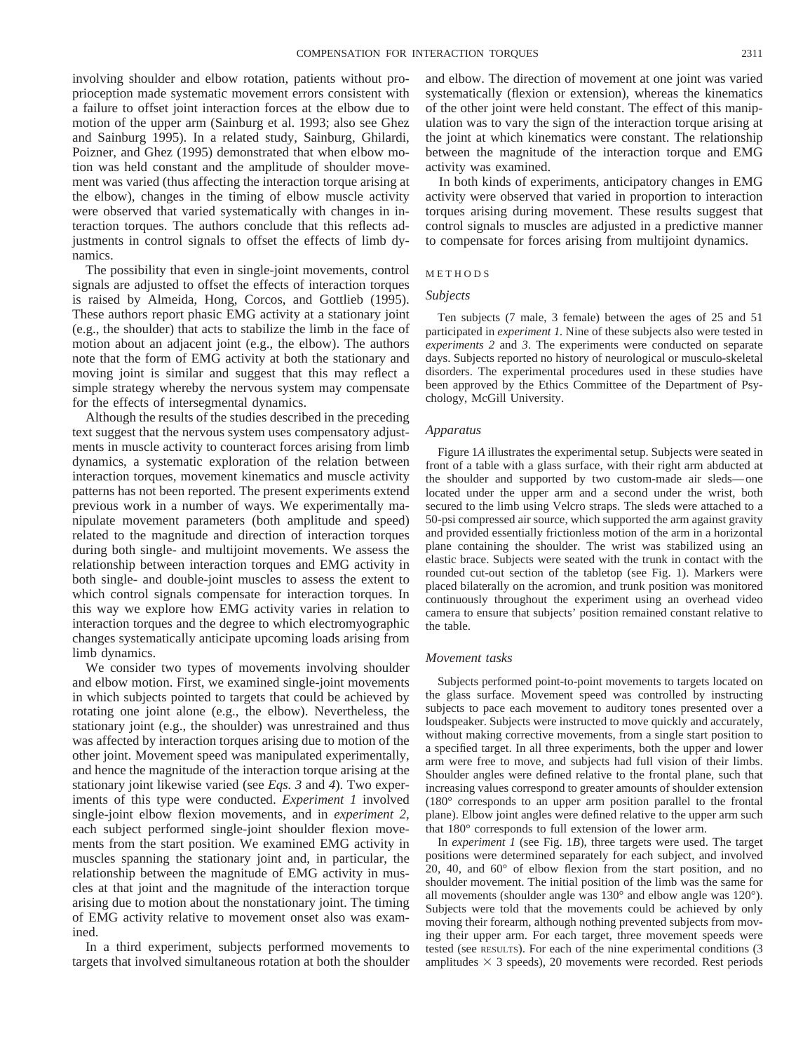involving shoulder and elbow rotation, patients without proprioception made systematic movement errors consistent with a failure to offset joint interaction forces at the elbow due to motion of the upper arm (Sainburg et al. 1993; also see Ghez and Sainburg 1995). In a related study, Sainburg, Ghilardi, Poizner, and Ghez (1995) demonstrated that when elbow motion was held constant and the amplitude of shoulder movement was varied (thus affecting the interaction torque arising at the elbow), changes in the timing of elbow muscle activity were observed that varied systematically with changes in interaction torques. The authors conclude that this reflects adjustments in control signals to offset the effects of limb dynamics.

The possibility that even in single-joint movements, control signals are adjusted to offset the effects of interaction torques is raised by Almeida, Hong, Corcos, and Gottlieb (1995). These authors report phasic EMG activity at a stationary joint (e.g., the shoulder) that acts to stabilize the limb in the face of motion about an adjacent joint (e.g., the elbow). The authors note that the form of EMG activity at both the stationary and moving joint is similar and suggest that this may reflect a simple strategy whereby the nervous system may compensate for the effects of intersegmental dynamics.

Although the results of the studies described in the preceding text suggest that the nervous system uses compensatory adjustments in muscle activity to counteract forces arising from limb dynamics, a systematic exploration of the relation between interaction torques, movement kinematics and muscle activity patterns has not been reported. The present experiments extend previous work in a number of ways. We experimentally manipulate movement parameters (both amplitude and speed) related to the magnitude and direction of interaction torques during both single- and multijoint movements. We assess the relationship between interaction torques and EMG activity in both single- and double-joint muscles to assess the extent to which control signals compensate for interaction torques. In this way we explore how EMG activity varies in relation to interaction torques and the degree to which electromyographic changes systematically anticipate upcoming loads arising from limb dynamics.

We consider two types of movements involving shoulder and elbow motion. First, we examined single-joint movements in which subjects pointed to targets that could be achieved by rotating one joint alone (e.g., the elbow). Nevertheless, the stationary joint (e.g., the shoulder) was unrestrained and thus was affected by interaction torques arising due to motion of the other joint. Movement speed was manipulated experimentally, and hence the magnitude of the interaction torque arising at the stationary joint likewise varied (see *Eqs. 3* and *4*). Two experiments of this type were conducted. *Experiment 1* involved single-joint elbow flexion movements, and in *experiment 2,* each subject performed single-joint shoulder flexion movements from the start position. We examined EMG activity in muscles spanning the stationary joint and, in particular, the relationship between the magnitude of EMG activity in muscles at that joint and the magnitude of the interaction torque arising due to motion about the nonstationary joint. The timing of EMG activity relative to movement onset also was examined.

In a third experiment, subjects performed movements to targets that involved simultaneous rotation at both the shoulder

and elbow. The direction of movement at one joint was varied systematically (flexion or extension), whereas the kinematics of the other joint were held constant. The effect of this manipulation was to vary the sign of the interaction torque arising at the joint at which kinematics were constant. The relationship between the magnitude of the interaction torque and EMG activity was examined.

In both kinds of experiments, anticipatory changes in EMG activity were observed that varied in proportion to interaction torques arising during movement. These results suggest that control signals to muscles are adjusted in a predictive manner to compensate for forces arising from multijoint dynamics.

## METHODS

#### *Subjects*

Ten subjects (7 male, 3 female) between the ages of 25 and 51 participated in *experiment 1.* Nine of these subjects also were tested in *experiments 2* and *3*. The experiments were conducted on separate days. Subjects reported no history of neurological or musculo-skeletal disorders. The experimental procedures used in these studies have been approved by the Ethics Committee of the Department of Psychology, McGill University.

## *Apparatus*

Figure 1*A* illustrates the experimental setup. Subjects were seated in front of a table with a glass surface, with their right arm abducted at the shoulder and supported by two custom-made air sleds—one located under the upper arm and a second under the wrist, both secured to the limb using Velcro straps. The sleds were attached to a 50-psi compressed air source, which supported the arm against gravity and provided essentially frictionless motion of the arm in a horizontal plane containing the shoulder. The wrist was stabilized using an elastic brace. Subjects were seated with the trunk in contact with the rounded cut-out section of the tabletop (see Fig. 1). Markers were placed bilaterally on the acromion, and trunk position was monitored continuously throughout the experiment using an overhead video camera to ensure that subjects' position remained constant relative to the table.

### *Movement tasks*

Subjects performed point-to-point movements to targets located on the glass surface. Movement speed was controlled by instructing subjects to pace each movement to auditory tones presented over a loudspeaker. Subjects were instructed to move quickly and accurately, without making corrective movements, from a single start position to a specified target. In all three experiments, both the upper and lower arm were free to move, and subjects had full vision of their limbs. Shoulder angles were defined relative to the frontal plane, such that increasing values correspond to greater amounts of shoulder extension (180° corresponds to an upper arm position parallel to the frontal plane). Elbow joint angles were defined relative to the upper arm such that 180° corresponds to full extension of the lower arm.

In *experiment 1* (see Fig. 1*B*), three targets were used. The target positions were determined separately for each subject, and involved 20, 40, and 60° of elbow flexion from the start position, and no shoulder movement. The initial position of the limb was the same for all movements (shoulder angle was 130° and elbow angle was 120°). Subjects were told that the movements could be achieved by only moving their forearm, although nothing prevented subjects from moving their upper arm. For each target, three movement speeds were tested (see RESULTS). For each of the nine experimental conditions (3 amplitudes  $\times$  3 speeds), 20 movements were recorded. Rest periods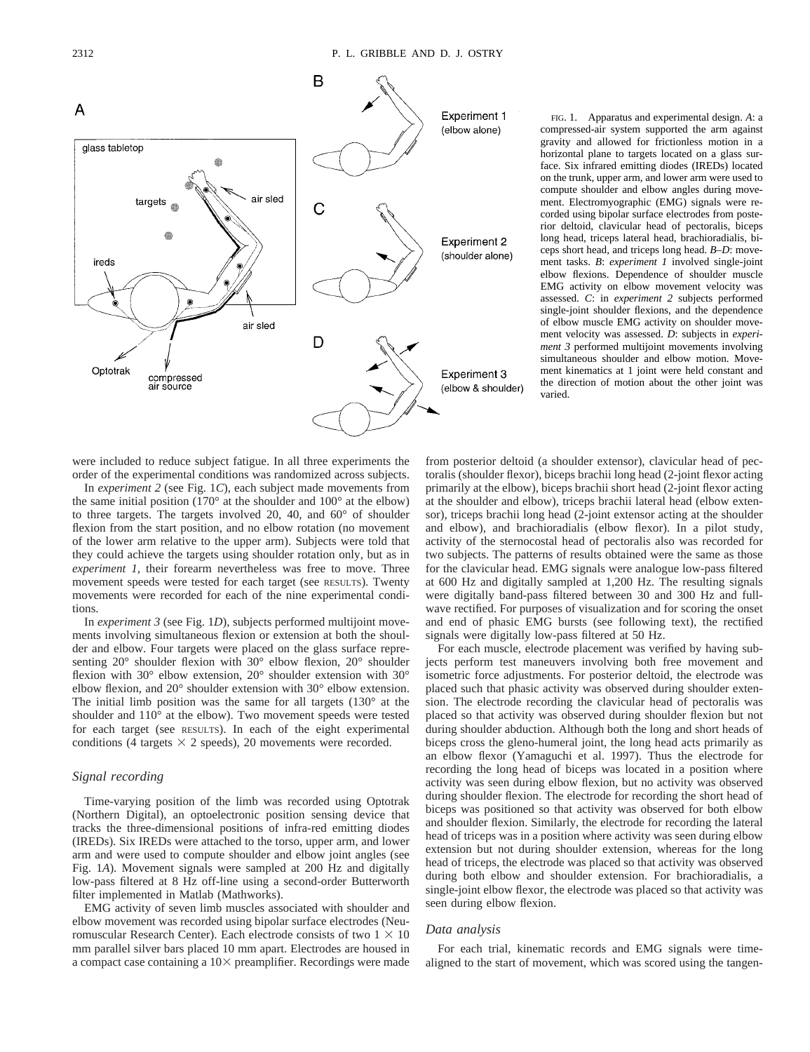

FIG. 1. Apparatus and experimental design. *A*: a compressed-air system supported the arm against gravity and allowed for frictionless motion in a horizontal plane to targets located on a glass surface. Six infrared emitting diodes (IREDs) located on the trunk, upper arm, and lower arm were used to compute shoulder and elbow angles during movement. Electromyographic (EMG) signals were recorded using bipolar surface electrodes from posterior deltoid, clavicular head of pectoralis, biceps long head, triceps lateral head, brachioradialis, biceps short head, and triceps long head. *B–D*: movement tasks. *B*: *experiment 1* involved single-joint elbow flexions. Dependence of shoulder muscle EMG activity on elbow movement velocity was assessed. *C*: in *experiment 2* subjects performed single-joint shoulder flexions, and the dependence of elbow muscle EMG activity on shoulder movement velocity was assessed. *D*: subjects in *experiment 3* performed multijoint movements involving simultaneous shoulder and elbow motion. Movement kinematics at 1 joint were held constant and the direction of motion about the other joint was varied.

were included to reduce subject fatigue. In all three experiments the order of the experimental conditions was randomized across subjects.

In *experiment 2* (see Fig. 1*C*), each subject made movements from the same initial position (170° at the shoulder and 100° at the elbow) to three targets. The targets involved 20, 40, and 60° of shoulder flexion from the start position, and no elbow rotation (no movement of the lower arm relative to the upper arm). Subjects were told that they could achieve the targets using shoulder rotation only, but as in *experiment 1,* their forearm nevertheless was free to move. Three movement speeds were tested for each target (see RESULTS). Twenty movements were recorded for each of the nine experimental conditions.

In *experiment 3* (see Fig. 1*D*), subjects performed multijoint movements involving simultaneous flexion or extension at both the shoulder and elbow. Four targets were placed on the glass surface representing 20° shoulder flexion with 30° elbow flexion, 20° shoulder flexion with 30° elbow extension, 20° shoulder extension with 30° elbow flexion, and 20° shoulder extension with 30° elbow extension. The initial limb position was the same for all targets (130° at the shoulder and 110° at the elbow). Two movement speeds were tested for each target (see RESULTS). In each of the eight experimental conditions (4 targets  $\times$  2 speeds), 20 movements were recorded.

## *Signal recording*

Time-varying position of the limb was recorded using Optotrak (Northern Digital), an optoelectronic position sensing device that tracks the three-dimensional positions of infra-red emitting diodes (IREDs). Six IREDs were attached to the torso, upper arm, and lower arm and were used to compute shoulder and elbow joint angles (see Fig. 1*A*). Movement signals were sampled at 200 Hz and digitally low-pass filtered at 8 Hz off-line using a second-order Butterworth filter implemented in Matlab (Mathworks).

EMG activity of seven limb muscles associated with shoulder and elbow movement was recorded using bipolar surface electrodes (Neuromuscular Research Center). Each electrode consists of two  $1 \times 10$ mm parallel silver bars placed 10 mm apart. Electrodes are housed in a compact case containing a  $10\times$  preamplifier. Recordings were made from posterior deltoid (a shoulder extensor), clavicular head of pectoralis (shoulder flexor), biceps brachii long head (2-joint flexor acting primarily at the elbow), biceps brachii short head (2-joint flexor acting at the shoulder and elbow), triceps brachii lateral head (elbow extensor), triceps brachii long head (2-joint extensor acting at the shoulder and elbow), and brachioradialis (elbow flexor). In a pilot study, activity of the sternocostal head of pectoralis also was recorded for two subjects. The patterns of results obtained were the same as those for the clavicular head. EMG signals were analogue low-pass filtered at 600 Hz and digitally sampled at 1,200 Hz. The resulting signals were digitally band-pass filtered between 30 and 300 Hz and fullwave rectified. For purposes of visualization and for scoring the onset and end of phasic EMG bursts (see following text), the rectified signals were digitally low-pass filtered at 50 Hz.

For each muscle, electrode placement was verified by having subjects perform test maneuvers involving both free movement and isometric force adjustments. For posterior deltoid, the electrode was placed such that phasic activity was observed during shoulder extension. The electrode recording the clavicular head of pectoralis was placed so that activity was observed during shoulder flexion but not during shoulder abduction. Although both the long and short heads of biceps cross the gleno-humeral joint, the long head acts primarily as an elbow flexor (Yamaguchi et al. 1997). Thus the electrode for recording the long head of biceps was located in a position where activity was seen during elbow flexion, but no activity was observed during shoulder flexion. The electrode for recording the short head of biceps was positioned so that activity was observed for both elbow and shoulder flexion. Similarly, the electrode for recording the lateral head of triceps was in a position where activity was seen during elbow extension but not during shoulder extension, whereas for the long head of triceps, the electrode was placed so that activity was observed during both elbow and shoulder extension. For brachioradialis, a single-joint elbow flexor, the electrode was placed so that activity was seen during elbow flexion.

#### *Data analysis*

For each trial, kinematic records and EMG signals were timealigned to the start of movement, which was scored using the tangen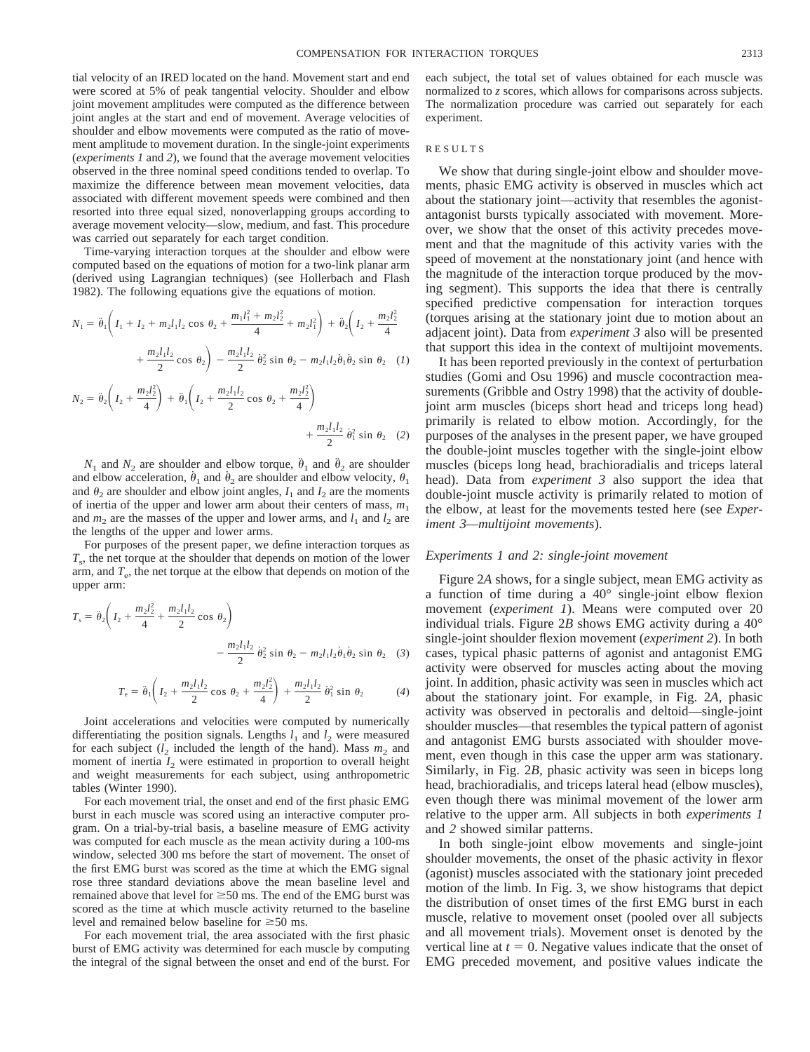tial velocity of an IRED located on the hand. Movement start and end were scored at 5% of peak tangential velocity. Shoulder and elbow joint movement amplitudes were computed as the difference between joint angles at the start and end of movement. Average velocities of shoulder and elbow movements were computed as the ratio of movement amplitude to movement duration. In the single-joint experiments (*experiments 1* and *2*), we found that the average movement velocities observed in the three nominal speed conditions tended to overlap. To maximize the difference between mean movement velocities, data associated with different movement speeds were combined and then resorted into three equal sized, nonoverlapping groups according to average movement velocity—slow, medium, and fast. This procedure was carried out separately for each target condition.

Time-varying interaction torques at the shoulder and elbow were computed based on the equations of motion for a two-link planar arm (derived using Lagrangian techniques) (see Hollerbach and Flash 1982). The following equations give the equations of motion.

$$
N_1 = \ddot{\theta}_1 \left( I_1 + I_2 + m_2 l_1 l_2 \cos \theta_2 + \frac{m_1 l_1^2 + m_2 l_2^2}{4} + m_2 l_1^2 \right) + \ddot{\theta}_2 \left( I_2 + \frac{m_2 l_2^2}{4} + \frac{m_2 l_1 l_2}{2} \cos \theta_2 \right) - \frac{m_2 l_1 l_2}{2} \dot{\theta}_2^2 \sin \theta_2 - m_2 l_1 l_2 \dot{\theta}_1 \dot{\theta}_2 \sin \theta_2 \quad (1)
$$

$$
N_2 = \ddot{\theta}_2 \bigg( I_2 + \frac{m_2 l_2^2}{4} \bigg) + \ddot{\theta}_1 \bigg( I_2 + \frac{m_2 l_1 l_2}{2} \cos \theta_2 + \frac{m_2 l_2^2}{4} \bigg) + \frac{m_2 l_1 l_2}{2} \dot{\theta}_1^2 \sin \theta_2 \quad (2)
$$

 $N_1$  and  $N_2$  are shoulder and elbow torque,  $\ddot{\theta}_1$  and  $\ddot{\theta}_2$  are shoulder and elbow acceleration,  $\dot{\theta}_1$  and  $\dot{\theta}_2$  are shoulder and elbow velocity,  $\theta_1$ and  $\theta_2$  are shoulder and elbow joint angles,  $I_1$  and  $I_2$  are the moments of inertia of the upper and lower arm about their centers of mass,  $m_1$ and  $m_2$  are the masses of the upper and lower arms, and  $l_1$  and  $l_2$  are the lengths of the upper and lower arms.

For purposes of the present paper, we define interaction torques as *T*s, the net torque at the shoulder that depends on motion of the lower arm, and  $T_e$ , the net torque at the elbow that depends on motion of the upper arm:

$$
T_s = \dot{\theta}_2 \bigg( I_2 + \frac{m_2 l_2^2}{4} + \frac{m_2 l_1 l_2}{2} \cos \theta_2 \bigg) - \frac{m_2 l_1 l_2}{2} \dot{\theta}_2^2 \sin \theta_2 - m_2 l_1 l_2 \dot{\theta}_1 \dot{\theta}_2 \sin \theta_2 \quad (3)
$$

$$
T_e = \ddot{\theta}_1 \left( I_2 + \frac{m_2 l_1 l_2}{2} \cos \theta_2 + \frac{m_2 l_2^2}{4} \right) + \frac{m_2 l_1 l_2}{2} \dot{\theta}_1^2 \sin \theta_2 \tag{4}
$$

Joint accelerations and velocities were computed by numerically differentiating the position signals. Lengths  $l_1$  and  $l_2$  were measured for each subject  $(l_2$  included the length of the hand). Mass  $m_2$  and moment of inertia  $I_2$  were estimated in proportion to overall height and weight measurements for each subject, using anthropometric tables (Winter 1990).

For each movement trial, the onset and end of the first phasic EMG burst in each muscle was scored using an interactive computer program. On a trial-by-trial basis, a baseline measure of EMG activity was computed for each muscle as the mean activity during a 100-ms window, selected 300 ms before the start of movement. The onset of the first EMG burst was scored as the time at which the EMG signal rose three standard deviations above the mean baseline level and remained above that level for  $\geq$ 50 ms. The end of the EMG burst was scored as the time at which muscle activity returned to the baseline level and remained below baseline for  $\geq 50$  ms.

For each movement trial, the area associated with the first phasic burst of EMG activity was determined for each muscle by computing the integral of the signal between the onset and end of the burst. For each subject, the total set of values obtained for each muscle was normalized to *z* scores, which allows for comparisons across subjects. The normalization procedure was carried out separately for each experiment.

#### RESULTS

We show that during single-joint elbow and shoulder movements, phasic EMG activity is observed in muscles which act about the stationary joint—activity that resembles the agonistantagonist bursts typically associated with movement. Moreover, we show that the onset of this activity precedes movement and that the magnitude of this activity varies with the speed of movement at the nonstationary joint (and hence with the magnitude of the interaction torque produced by the moving segment). This supports the idea that there is centrally specified predictive compensation for interaction torques (torques arising at the stationary joint due to motion about an adjacent joint). Data from *experiment 3* also will be presented that support this idea in the context of multijoint movements.

It has been reported previously in the context of perturbation studies (Gomi and Osu 1996) and muscle cocontraction measurements (Gribble and Ostry 1998) that the activity of doublejoint arm muscles (biceps short head and triceps long head) primarily is related to elbow motion. Accordingly, for the purposes of the analyses in the present paper, we have grouped the double-joint muscles together with the single-joint elbow muscles (biceps long head, brachioradialis and triceps lateral head). Data from *experiment 3* also support the idea that double-joint muscle activity is primarily related to motion of the elbow, at least for the movements tested here (see *Experiment 3—multijoint movements*).

## *Experiments 1 and 2: single-joint movement*

Figure 2*A* shows, for a single subject, mean EMG activity as a function of time during a 40° single-joint elbow flexion movement (*experiment 1*). Means were computed over 20 individual trials. Figure 2*B* shows EMG activity during a 40° single-joint shoulder flexion movement (*experiment 2*). In both cases, typical phasic patterns of agonist and antagonist EMG activity were observed for muscles acting about the moving joint. In addition, phasic activity was seen in muscles which act about the stationary joint. For example, in Fig. 2*A,* phasic activity was observed in pectoralis and deltoid—single-joint shoulder muscles—that resembles the typical pattern of agonist and antagonist EMG bursts associated with shoulder movement, even though in this case the upper arm was stationary. Similarly, in Fig. 2*B,* phasic activity was seen in biceps long head, brachioradialis, and triceps lateral head (elbow muscles), even though there was minimal movement of the lower arm relative to the upper arm. All subjects in both *experiments 1* and *2* showed similar patterns.

In both single-joint elbow movements and single-joint shoulder movements, the onset of the phasic activity in flexor (agonist) muscles associated with the stationary joint preceded motion of the limb. In Fig. 3, we show histograms that depict the distribution of onset times of the first EMG burst in each muscle, relative to movement onset (pooled over all subjects and all movement trials). Movement onset is denoted by the vertical line at  $t = 0$ . Negative values indicate that the onset of EMG preceded movement, and positive values indicate the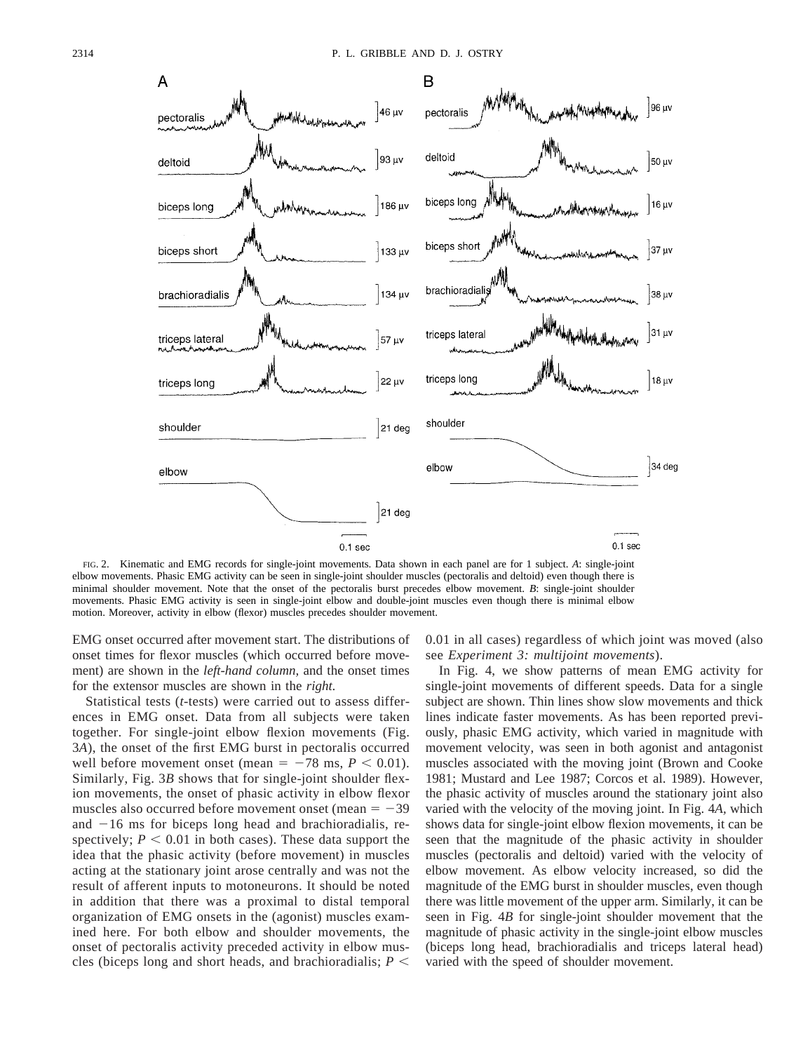

FIG. 2. Kinematic and EMG records for single-joint movements. Data shown in each panel are for 1 subject. *A*: single-joint elbow movements. Phasic EMG activity can be seen in single-joint shoulder muscles (pectoralis and deltoid) even though there is minimal shoulder movement. Note that the onset of the pectoralis burst precedes elbow movement. *B*: single-joint shoulder movements. Phasic EMG activity is seen in single-joint elbow and double-joint muscles even though there is minimal elbow motion. Moreover, activity in elbow (flexor) muscles precedes shoulder movement.

EMG onset occurred after movement start. The distributions of onset times for flexor muscles (which occurred before movement) are shown in the *left-hand column,* and the onset times for the extensor muscles are shown in the *right.*

Statistical tests (*t*-tests) were carried out to assess differences in EMG onset. Data from all subjects were taken together. For single-joint elbow flexion movements (Fig. 3*A*), the onset of the first EMG burst in pectoralis occurred well before movement onset (mean  $= -78$  ms,  $P < 0.01$ ). Similarly, Fig. 3*B* shows that for single-joint shoulder flexion movements, the onset of phasic activity in elbow flexor muscles also occurred before movement onset (mean  $= -39$ and  $-16$  ms for biceps long head and brachioradialis, respectively;  $P < 0.01$  in both cases). These data support the idea that the phasic activity (before movement) in muscles acting at the stationary joint arose centrally and was not the result of afferent inputs to motoneurons. It should be noted in addition that there was a proximal to distal temporal organization of EMG onsets in the (agonist) muscles examined here. For both elbow and shoulder movements, the onset of pectoralis activity preceded activity in elbow muscles (biceps long and short heads, and brachioradialis;  $P \leq$ 

0.01 in all cases) regardless of which joint was moved (also see *Experiment 3: multijoint movements*).

In Fig. 4, we show patterns of mean EMG activity for single-joint movements of different speeds. Data for a single subject are shown. Thin lines show slow movements and thick lines indicate faster movements. As has been reported previously, phasic EMG activity, which varied in magnitude with movement velocity, was seen in both agonist and antagonist muscles associated with the moving joint (Brown and Cooke 1981; Mustard and Lee 1987; Corcos et al. 1989). However, the phasic activity of muscles around the stationary joint also varied with the velocity of the moving joint. In Fig. 4*A,* which shows data for single-joint elbow flexion movements, it can be seen that the magnitude of the phasic activity in shoulder muscles (pectoralis and deltoid) varied with the velocity of elbow movement. As elbow velocity increased, so did the magnitude of the EMG burst in shoulder muscles, even though there was little movement of the upper arm. Similarly, it can be seen in Fig. 4*B* for single-joint shoulder movement that the magnitude of phasic activity in the single-joint elbow muscles (biceps long head, brachioradialis and triceps lateral head) varied with the speed of shoulder movement.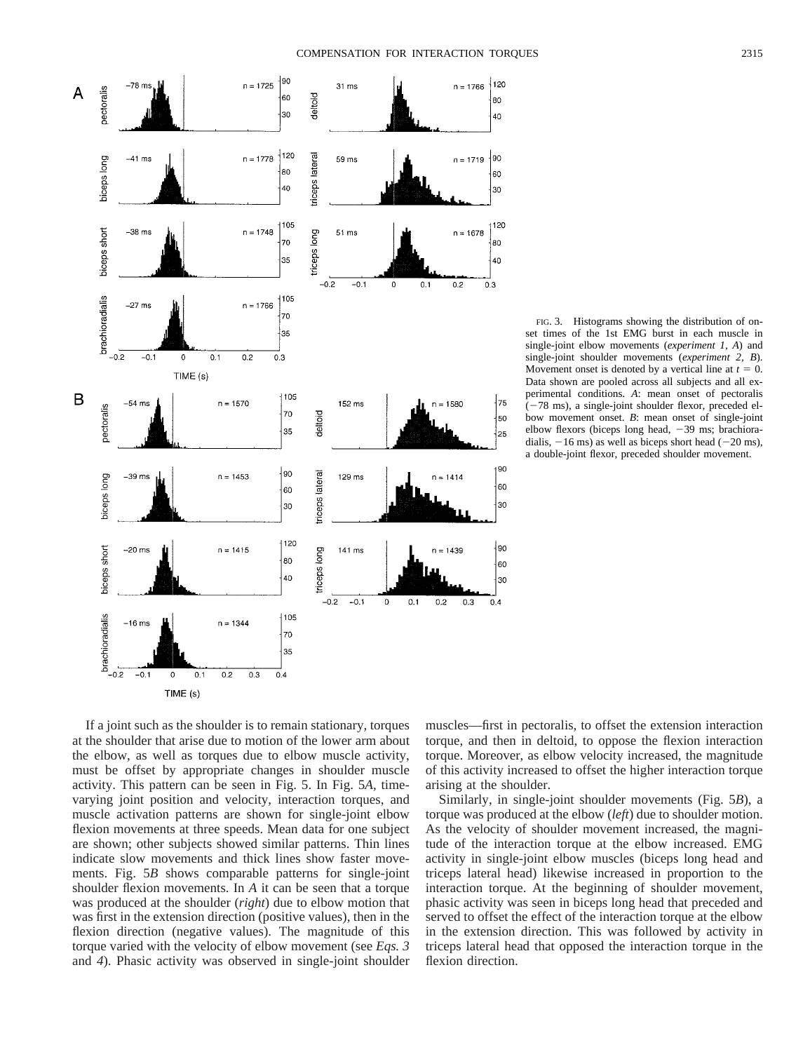

FIG. 3. Histograms showing the distribution of onset times of the 1st EMG burst in each muscle in single-joint elbow movements (*experiment 1, A*) and single-joint shoulder movements (*experiment 2, B*). Movement onset is denoted by a vertical line at  $t = 0$ . Data shown are pooled across all subjects and all experimental conditions. *A*: mean onset of pectoralis  $(-78 \text{ ms})$ , a single-joint shoulder flexor, preceded elbow movement onset. *B*: mean onset of single-joint elbow flexors (biceps long head,  $-39$  ms; brachioradialis,  $-16$  ms) as well as biceps short head ( $-20$  ms), a double-joint flexor, preceded shoulder movement.

If a joint such as the shoulder is to remain stationary, torques at the shoulder that arise due to motion of the lower arm about the elbow, as well as torques due to elbow muscle activity, must be offset by appropriate changes in shoulder muscle activity. This pattern can be seen in Fig. 5. In Fig. 5*A,* timevarying joint position and velocity, interaction torques, and muscle activation patterns are shown for single-joint elbow flexion movements at three speeds. Mean data for one subject are shown; other subjects showed similar patterns. Thin lines indicate slow movements and thick lines show faster movements. Fig. 5*B* shows comparable patterns for single-joint shoulder flexion movements. In *A* it can be seen that a torque was produced at the shoulder (*right*) due to elbow motion that was first in the extension direction (positive values), then in the flexion direction (negative values). The magnitude of this torque varied with the velocity of elbow movement (see *Eqs. 3* and *4*). Phasic activity was observed in single-joint shoulder

muscles—first in pectoralis, to offset the extension interaction torque, and then in deltoid, to oppose the flexion interaction torque. Moreover, as elbow velocity increased, the magnitude of this activity increased to offset the higher interaction torque arising at the shoulder.

Similarly, in single-joint shoulder movements (Fig. 5*B*), a torque was produced at the elbow (*left*) due to shoulder motion. As the velocity of shoulder movement increased, the magnitude of the interaction torque at the elbow increased. EMG activity in single-joint elbow muscles (biceps long head and triceps lateral head) likewise increased in proportion to the interaction torque. At the beginning of shoulder movement, phasic activity was seen in biceps long head that preceded and served to offset the effect of the interaction torque at the elbow in the extension direction. This was followed by activity in triceps lateral head that opposed the interaction torque in the flexion direction.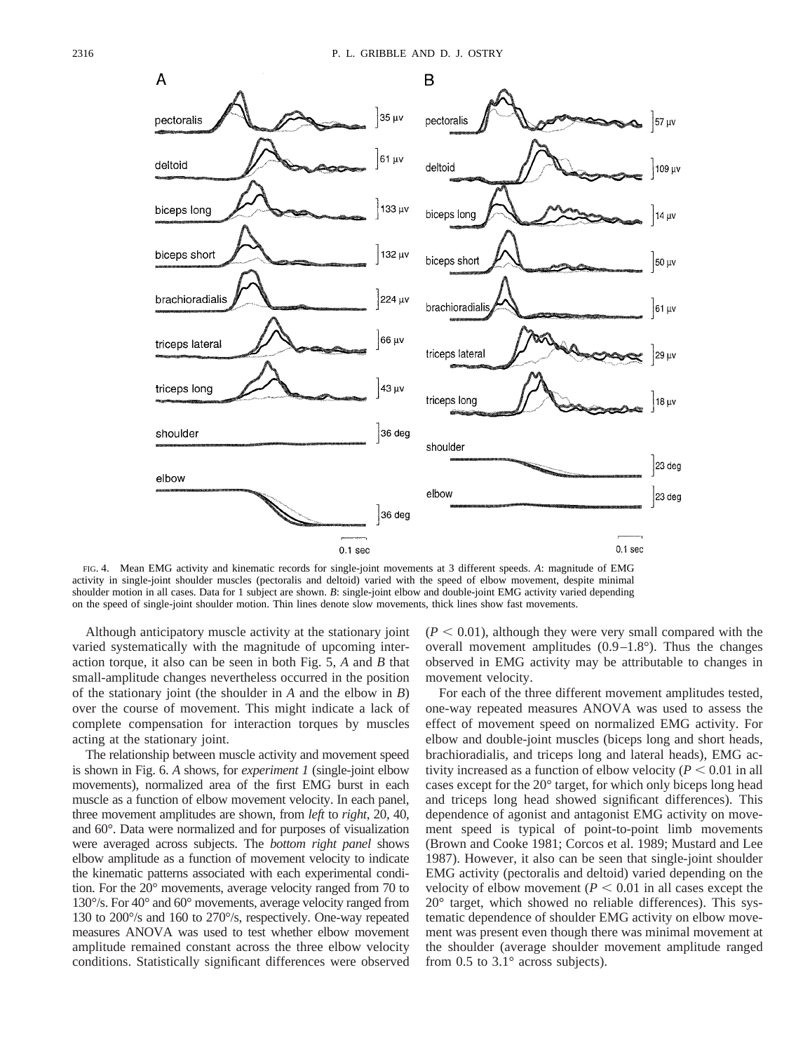

FIG. 4. Mean EMG activity and kinematic records for single-joint movements at 3 different speeds. *A*: magnitude of EMG activity in single-joint shoulder muscles (pectoralis and deltoid) varied with the speed of elbow movement, despite minimal shoulder motion in all cases. Data for 1 subject are shown. *B*: single-joint elbow and double-joint EMG activity varied depending on the speed of single-joint shoulder motion. Thin lines denote slow movements, thick lines show fast movements.

Although anticipatory muscle activity at the stationary joint varied systematically with the magnitude of upcoming interaction torque, it also can be seen in both Fig. 5, *A* and *B* that small-amplitude changes nevertheless occurred in the position of the stationary joint (the shoulder in *A* and the elbow in *B*) over the course of movement. This might indicate a lack of complete compensation for interaction torques by muscles acting at the stationary joint.

The relationship between muscle activity and movement speed is shown in Fig. 6. *A* shows, for *experiment 1* (single-joint elbow movements), normalized area of the first EMG burst in each muscle as a function of elbow movement velocity. In each panel, three movement amplitudes are shown, from *left* to *right*, 20, 40, and 60°. Data were normalized and for purposes of visualization were averaged across subjects. The *bottom right panel* shows elbow amplitude as a function of movement velocity to indicate the kinematic patterns associated with each experimental condition. For the 20° movements, average velocity ranged from 70 to 130°/s. For 40° and 60° movements, average velocity ranged from 130 to 200°/s and 160 to 270°/s, respectively. One-way repeated measures ANOVA was used to test whether elbow movement amplitude remained constant across the three elbow velocity conditions. Statistically significant differences were observed

 $(P < 0.01)$ , although they were very small compared with the overall movement amplitudes (0.9–1.8°). Thus the changes observed in EMG activity may be attributable to changes in movement velocity.

For each of the three different movement amplitudes tested, one-way repeated measures ANOVA was used to assess the effect of movement speed on normalized EMG activity. For elbow and double-joint muscles (biceps long and short heads, brachioradialis, and triceps long and lateral heads), EMG activity increased as a function of elbow velocity  $(P < 0.01$  in all cases except for the 20° target, for which only biceps long head and triceps long head showed significant differences). This dependence of agonist and antagonist EMG activity on movement speed is typical of point-to-point limb movements (Brown and Cooke 1981; Corcos et al. 1989; Mustard and Lee 1987). However, it also can be seen that single-joint shoulder EMG activity (pectoralis and deltoid) varied depending on the velocity of elbow movement ( $P < 0.01$  in all cases except the 20° target, which showed no reliable differences). This systematic dependence of shoulder EMG activity on elbow movement was present even though there was minimal movement at the shoulder (average shoulder movement amplitude ranged from 0.5 to 3.1° across subjects).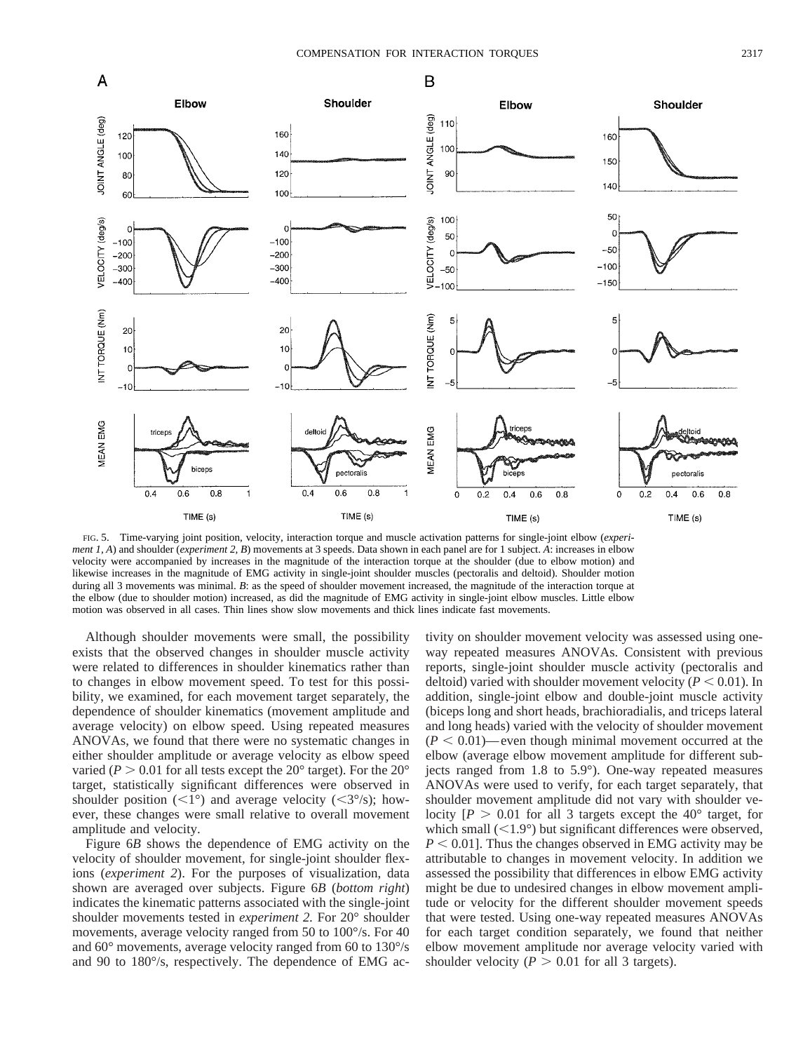

FIG. 5. Time-varying joint position, velocity, interaction torque and muscle activation patterns for single-joint elbow (*experiment 1, A*) and shoulder (*experiment 2, B*) movements at 3 speeds. Data shown in each panel are for 1 subject. *A*: increases in elbow velocity were accompanied by increases in the magnitude of the interaction torque at the shoulder (due to elbow motion) and likewise increases in the magnitude of EMG activity in single-joint shoulder muscles (pectoralis and deltoid). Shoulder motion during all 3 movements was minimal. *B*: as the speed of shoulder movement increased, the magnitude of the interaction torque at the elbow (due to shoulder motion) increased, as did the magnitude of EMG activity in single-joint elbow muscles. Little elbow motion was observed in all cases. Thin lines show slow movements and thick lines indicate fast movements.

Although shoulder movements were small, the possibility exists that the observed changes in shoulder muscle activity were related to differences in shoulder kinematics rather than to changes in elbow movement speed. To test for this possibility, we examined, for each movement target separately, the dependence of shoulder kinematics (movement amplitude and average velocity) on elbow speed. Using repeated measures ANOVAs, we found that there were no systematic changes in either shoulder amplitude or average velocity as elbow speed varied ( $P > 0.01$  for all tests except the 20 $^{\circ}$  target). For the 20 $^{\circ}$ target, statistically significant differences were observed in shoulder position ( $\langle 1^{\circ} \rangle$  and average velocity ( $\langle 3^{\circ}/s \rangle$ ; however, these changes were small relative to overall movement amplitude and velocity.

Figure 6*B* shows the dependence of EMG activity on the velocity of shoulder movement, for single-joint shoulder flexions (*experiment 2*). For the purposes of visualization, data shown are averaged over subjects. Figure 6*B* (*bottom right*) indicates the kinematic patterns associated with the single-joint shoulder movements tested in *experiment 2.* For 20° shoulder movements, average velocity ranged from 50 to 100°/s. For 40 and 60° movements, average velocity ranged from 60 to 130°/s and 90 to 180°/s, respectively. The dependence of EMG activity on shoulder movement velocity was assessed using oneway repeated measures ANOVAs. Consistent with previous reports, single-joint shoulder muscle activity (pectoralis and deltoid) varied with shoulder movement velocity ( $P < 0.01$ ). In addition, single-joint elbow and double-joint muscle activity (biceps long and short heads, brachioradialis, and triceps lateral and long heads) varied with the velocity of shoulder movement  $(P < 0.01)$ —even though minimal movement occurred at the elbow (average elbow movement amplitude for different subjects ranged from 1.8 to 5.9°). One-way repeated measures ANOVAs were used to verify, for each target separately, that shoulder movement amplitude did not vary with shoulder velocity  $[P > 0.01$  for all 3 targets except the 40<sup>°</sup> target, for which small  $(<1.9°)$  but significant differences were observed,  $P \le 0.01$ ]. Thus the changes observed in EMG activity may be attributable to changes in movement velocity. In addition we assessed the possibility that differences in elbow EMG activity might be due to undesired changes in elbow movement amplitude or velocity for the different shoulder movement speeds that were tested. Using one-way repeated measures ANOVAs for each target condition separately, we found that neither elbow movement amplitude nor average velocity varied with shoulder velocity ( $P > 0.01$  for all 3 targets).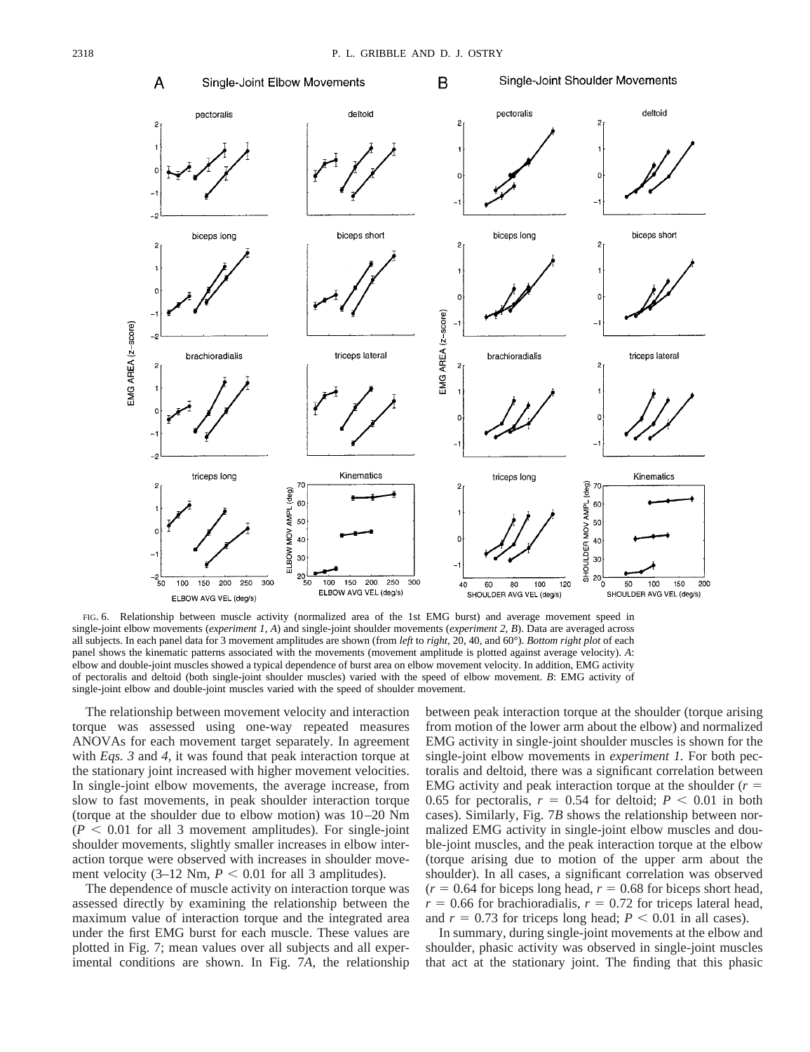

FIG. 6. Relationship between muscle activity (normalized area of the 1st EMG burst) and average movement speed in single-joint elbow movements (*experiment 1, A*) and single-joint shoulder movements (*experiment 2, B*). Data are averaged across all subjects. In each panel data for 3 movement amplitudes are shown (from *left* to *right*, 20, 40, and 60°). *Bottom right plot* of each panel shows the kinematic patterns associated with the movements (movement amplitude is plotted against average velocity). *A*: elbow and double-joint muscles showed a typical dependence of burst area on elbow movement velocity. In addition, EMG activity of pectoralis and deltoid (both single-joint shoulder muscles) varied with the speed of elbow movement. *B*: EMG activity of single-joint elbow and double-joint muscles varied with the speed of shoulder movement.

The relationship between movement velocity and interaction torque was assessed using one-way repeated measures ANOVAs for each movement target separately. In agreement with *Eqs. 3* and *4,* it was found that peak interaction torque at the stationary joint increased with higher movement velocities. In single-joint elbow movements, the average increase, from slow to fast movements, in peak shoulder interaction torque (torque at the shoulder due to elbow motion) was 10–20 Nm  $(P < 0.01$  for all 3 movement amplitudes). For single-joint shoulder movements, slightly smaller increases in elbow interaction torque were observed with increases in shoulder movement velocity  $(3-12 \text{ Nm}, P \le 0.01 \text{ for all } 3 \text{ amplitudes}).$ 

The dependence of muscle activity on interaction torque was assessed directly by examining the relationship between the maximum value of interaction torque and the integrated area under the first EMG burst for each muscle. These values are plotted in Fig. 7; mean values over all subjects and all experimental conditions are shown. In Fig. 7*A,* the relationship

between peak interaction torque at the shoulder (torque arising from motion of the lower arm about the elbow) and normalized EMG activity in single-joint shoulder muscles is shown for the single-joint elbow movements in *experiment 1.* For both pectoralis and deltoid, there was a significant correlation between EMG activity and peak interaction torque at the shoulder  $(r =$ 0.65 for pectoralis,  $r = 0.54$  for deltoid;  $P \le 0.01$  in both cases). Similarly, Fig. 7*B* shows the relationship between normalized EMG activity in single-joint elbow muscles and double-joint muscles, and the peak interaction torque at the elbow (torque arising due to motion of the upper arm about the shoulder). In all cases, a significant correlation was observed  $(r = 0.64$  for biceps long head,  $r = 0.68$  for biceps short head,  $r = 0.66$  for brachioradialis,  $r = 0.72$  for triceps lateral head, and  $r = 0.73$  for triceps long head;  $P < 0.01$  in all cases).

In summary, during single-joint movements at the elbow and shoulder, phasic activity was observed in single-joint muscles that act at the stationary joint. The finding that this phasic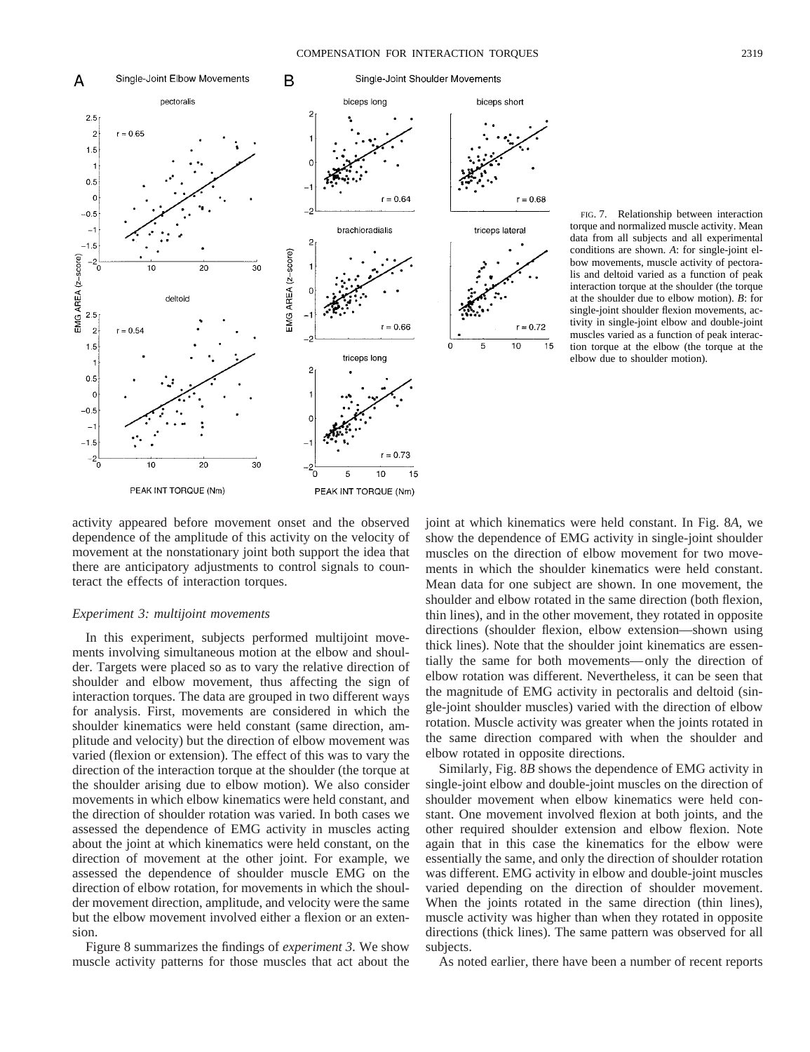

FIG. 7. Relationship between interaction torque and normalized muscle activity. Mean data from all subjects and all experimental conditions are shown. *A*: for single-joint elbow movements, muscle activity of pectoralis and deltoid varied as a function of peak interaction torque at the shoulder (the torque at the shoulder due to elbow motion). *B*: for single-joint shoulder flexion movements, activity in single-joint elbow and double-joint muscles varied as a function of peak interaction torque at the elbow (the torque at the elbow due to shoulder motion).

activity appeared before movement onset and the observed dependence of the amplitude of this activity on the velocity of movement at the nonstationary joint both support the idea that there are anticipatory adjustments to control signals to counteract the effects of interaction torques.

## *Experiment 3: multijoint movements*

In this experiment, subjects performed multijoint movements involving simultaneous motion at the elbow and shoulder. Targets were placed so as to vary the relative direction of shoulder and elbow movement, thus affecting the sign of interaction torques. The data are grouped in two different ways for analysis. First, movements are considered in which the shoulder kinematics were held constant (same direction, amplitude and velocity) but the direction of elbow movement was varied (flexion or extension). The effect of this was to vary the direction of the interaction torque at the shoulder (the torque at the shoulder arising due to elbow motion). We also consider movements in which elbow kinematics were held constant, and the direction of shoulder rotation was varied. In both cases we assessed the dependence of EMG activity in muscles acting about the joint at which kinematics were held constant, on the direction of movement at the other joint. For example, we assessed the dependence of shoulder muscle EMG on the direction of elbow rotation, for movements in which the shoulder movement direction, amplitude, and velocity were the same but the elbow movement involved either a flexion or an extension.

Figure 8 summarizes the findings of *experiment 3.* We show muscle activity patterns for those muscles that act about the joint at which kinematics were held constant. In Fig. 8*A,* we show the dependence of EMG activity in single-joint shoulder muscles on the direction of elbow movement for two movements in which the shoulder kinematics were held constant. Mean data for one subject are shown. In one movement, the shoulder and elbow rotated in the same direction (both flexion, thin lines), and in the other movement, they rotated in opposite directions (shoulder flexion, elbow extension—shown using thick lines). Note that the shoulder joint kinematics are essentially the same for both movements—only the direction of elbow rotation was different. Nevertheless, it can be seen that the magnitude of EMG activity in pectoralis and deltoid (single-joint shoulder muscles) varied with the direction of elbow rotation. Muscle activity was greater when the joints rotated in the same direction compared with when the shoulder and elbow rotated in opposite directions.

Similarly, Fig. 8*B* shows the dependence of EMG activity in single-joint elbow and double-joint muscles on the direction of shoulder movement when elbow kinematics were held constant. One movement involved flexion at both joints, and the other required shoulder extension and elbow flexion. Note again that in this case the kinematics for the elbow were essentially the same, and only the direction of shoulder rotation was different. EMG activity in elbow and double-joint muscles varied depending on the direction of shoulder movement. When the joints rotated in the same direction (thin lines), muscle activity was higher than when they rotated in opposite directions (thick lines). The same pattern was observed for all subjects.

As noted earlier, there have been a number of recent reports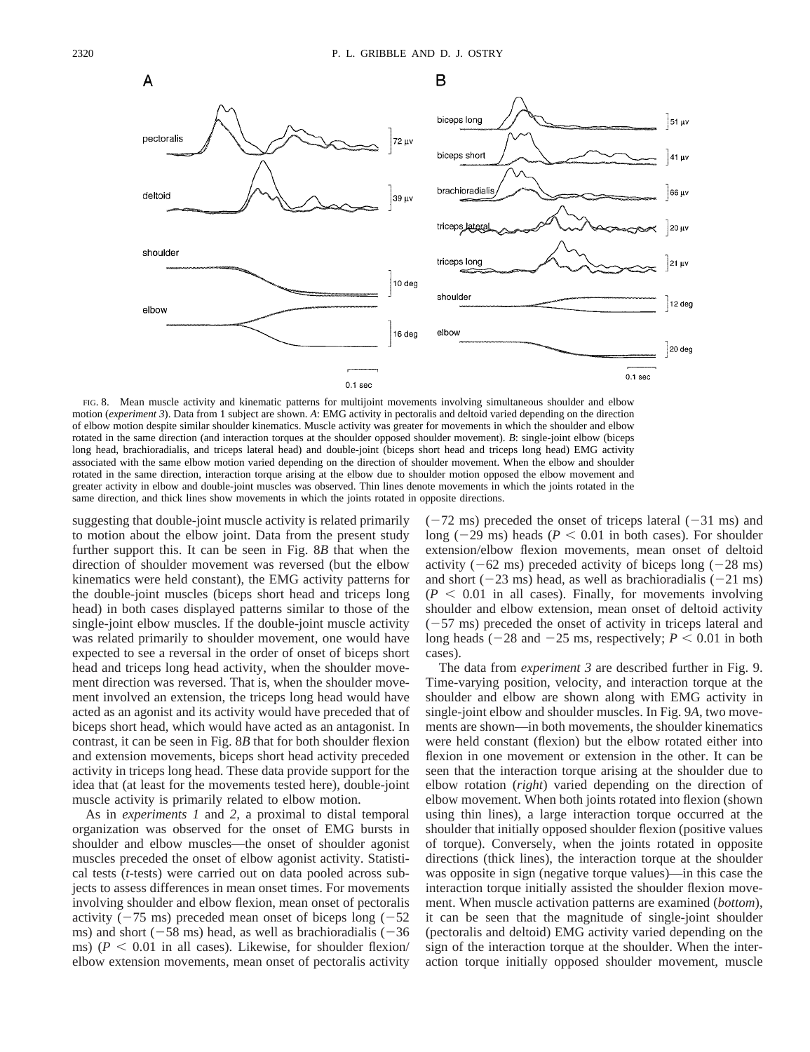

FIG. 8. Mean muscle activity and kinematic patterns for multijoint movements involving simultaneous shoulder and elbow motion (*experiment 3*). Data from 1 subject are shown. *A*: EMG activity in pectoralis and deltoid varied depending on the direction of elbow motion despite similar shoulder kinematics. Muscle activity was greater for movements in which the shoulder and elbow rotated in the same direction (and interaction torques at the shoulder opposed shoulder movement). *B*: single-joint elbow (biceps long head, brachioradialis, and triceps lateral head) and double-joint (biceps short head and triceps long head) EMG activity associated with the same elbow motion varied depending on the direction of shoulder movement. When the elbow and shoulder rotated in the same direction, interaction torque arising at the elbow due to shoulder motion opposed the elbow movement and greater activity in elbow and double-joint muscles was observed. Thin lines denote movements in which the joints rotated in the same direction, and thick lines show movements in which the joints rotated in opposite directions.

suggesting that double-joint muscle activity is related primarily to motion about the elbow joint. Data from the present study further support this. It can be seen in Fig. 8*B* that when the direction of shoulder movement was reversed (but the elbow kinematics were held constant), the EMG activity patterns for the double-joint muscles (biceps short head and triceps long head) in both cases displayed patterns similar to those of the single-joint elbow muscles. If the double-joint muscle activity was related primarily to shoulder movement, one would have expected to see a reversal in the order of onset of biceps short head and triceps long head activity, when the shoulder movement direction was reversed. That is, when the shoulder movement involved an extension, the triceps long head would have acted as an agonist and its activity would have preceded that of biceps short head, which would have acted as an antagonist. In contrast, it can be seen in Fig. 8*B* that for both shoulder flexion and extension movements, biceps short head activity preceded activity in triceps long head. These data provide support for the idea that (at least for the movements tested here), double-joint muscle activity is primarily related to elbow motion.

As in *experiments 1* and *2,* a proximal to distal temporal organization was observed for the onset of EMG bursts in shoulder and elbow muscles—the onset of shoulder agonist muscles preceded the onset of elbow agonist activity. Statistical tests (*t*-tests) were carried out on data pooled across subjects to assess differences in mean onset times. For movements involving shoulder and elbow flexion, mean onset of pectoralis activity ( $-75$  ms) preceded mean onset of biceps long ( $-52$ ms) and short ( $-58$  ms) head, as well as brachioradialis ( $-36$ ms) ( $P < 0.01$  in all cases). Likewise, for shoulder flexion/ elbow extension movements, mean onset of pectoralis activity

 $(-72 \text{ ms})$  preceded the onset of triceps lateral  $(-31 \text{ ms})$  and long  $(-29 \text{ ms})$  heads ( $P < 0.01$  in both cases). For shoulder extension/elbow flexion movements, mean onset of deltoid activity ( $-62$  ms) preceded activity of biceps long ( $-28$  ms) and short  $(-23 \text{ ms})$  head, as well as brachioradialis  $(-21 \text{ ms})$  $(P < 0.01$  in all cases). Finally, for movements involving shoulder and elbow extension, mean onset of deltoid activity  $(-57 \text{ ms})$  preceded the onset of activity in triceps lateral and long heads  $(-28 \text{ and } -25 \text{ ms}$ , respectively;  $P < 0.01$  in both cases).

The data from *experiment 3* are described further in Fig. 9. Time-varying position, velocity, and interaction torque at the shoulder and elbow are shown along with EMG activity in single-joint elbow and shoulder muscles. In Fig. 9*A,* two movements are shown—in both movements, the shoulder kinematics were held constant (flexion) but the elbow rotated either into flexion in one movement or extension in the other. It can be seen that the interaction torque arising at the shoulder due to elbow rotation (*right*) varied depending on the direction of elbow movement. When both joints rotated into flexion (shown using thin lines), a large interaction torque occurred at the shoulder that initially opposed shoulder flexion (positive values of torque). Conversely, when the joints rotated in opposite directions (thick lines), the interaction torque at the shoulder was opposite in sign (negative torque values)—in this case the interaction torque initially assisted the shoulder flexion movement. When muscle activation patterns are examined (*bottom*), it can be seen that the magnitude of single-joint shoulder (pectoralis and deltoid) EMG activity varied depending on the sign of the interaction torque at the shoulder. When the interaction torque initially opposed shoulder movement, muscle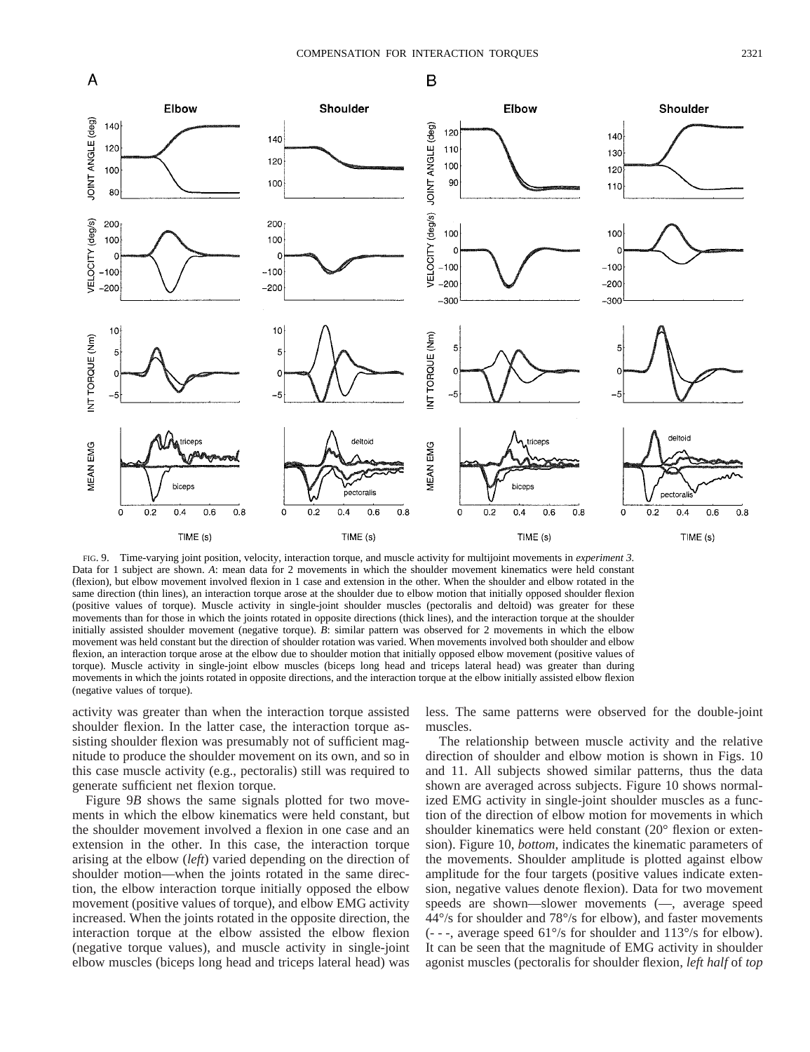

FIG. 9. Time-varying joint position, velocity, interaction torque, and muscle activity for multijoint movements in *experiment 3.* Data for 1 subject are shown. *A*: mean data for 2 movements in which the shoulder movement kinematics were held constant (flexion), but elbow movement involved flexion in 1 case and extension in the other. When the shoulder and elbow rotated in the same direction (thin lines), an interaction torque arose at the shoulder due to elbow motion that initially opposed shoulder flexion (positive values of torque). Muscle activity in single-joint shoulder muscles (pectoralis and deltoid) was greater for these movements than for those in which the joints rotated in opposite directions (thick lines), and the interaction torque at the shoulder initially assisted shoulder movement (negative torque). *B*: similar pattern was observed for 2 movements in which the elbow movement was held constant but the direction of shoulder rotation was varied. When movements involved both shoulder and elbow flexion, an interaction torque arose at the elbow due to shoulder motion that initially opposed elbow movement (positive values of torque). Muscle activity in single-joint elbow muscles (biceps long head and triceps lateral head) was greater than during movements in which the joints rotated in opposite directions, and the interaction torque at the elbow initially assisted elbow flexion (negative values of torque).

activity was greater than when the interaction torque assisted shoulder flexion. In the latter case, the interaction torque assisting shoulder flexion was presumably not of sufficient magnitude to produce the shoulder movement on its own, and so in this case muscle activity (e.g., pectoralis) still was required to generate sufficient net flexion torque.

Figure 9*B* shows the same signals plotted for two movements in which the elbow kinematics were held constant, but the shoulder movement involved a flexion in one case and an extension in the other. In this case, the interaction torque arising at the elbow (*left*) varied depending on the direction of shoulder motion—when the joints rotated in the same direction, the elbow interaction torque initially opposed the elbow movement (positive values of torque), and elbow EMG activity increased. When the joints rotated in the opposite direction, the interaction torque at the elbow assisted the elbow flexion (negative torque values), and muscle activity in single-joint elbow muscles (biceps long head and triceps lateral head) was

less. The same patterns were observed for the double-joint muscles.

The relationship between muscle activity and the relative direction of shoulder and elbow motion is shown in Figs. 10 and 11. All subjects showed similar patterns, thus the data shown are averaged across subjects. Figure 10 shows normalized EMG activity in single-joint shoulder muscles as a function of the direction of elbow motion for movements in which shoulder kinematics were held constant (20° flexion or extension). Figure 10, *bottom,* indicates the kinematic parameters of the movements. Shoulder amplitude is plotted against elbow amplitude for the four targets (positive values indicate extension, negative values denote flexion). Data for two movement speeds are shown—slower movements (—, average speed 44°/s for shoulder and 78°/s for elbow), and faster movements (- - -, average speed 61°/s for shoulder and 113°/s for elbow). It can be seen that the magnitude of EMG activity in shoulder agonist muscles (pectoralis for shoulder flexion, *left half* of *top*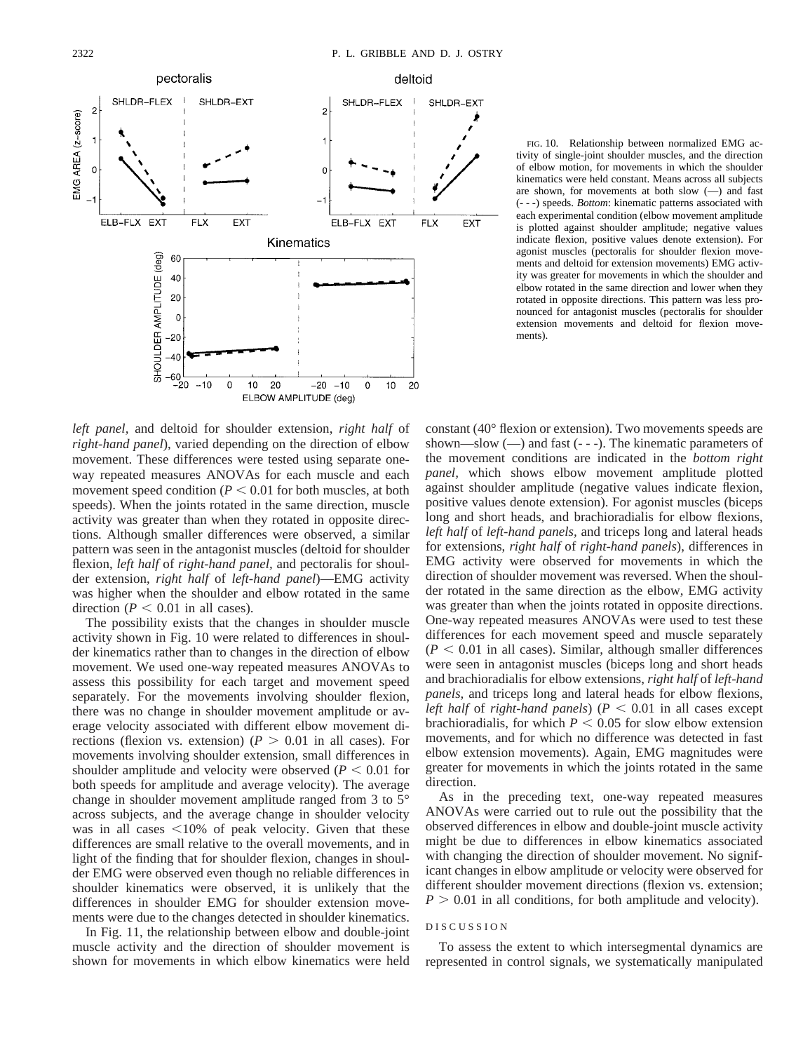

FIG. 10. Relationship between normalized EMG activity of single-joint shoulder muscles, and the direction of elbow motion, for movements in which the shoulder kinematics were held constant. Means across all subjects are shown, for movements at both slow (—) and fast (- - -) speeds. *Bottom*: kinematic patterns associated with each experimental condition (elbow movement amplitude is plotted against shoulder amplitude; negative values indicate flexion, positive values denote extension). For agonist muscles (pectoralis for shoulder flexion movements and deltoid for extension movements) EMG activity was greater for movements in which the shoulder and elbow rotated in the same direction and lower when they rotated in opposite directions. This pattern was less pronounced for antagonist muscles (pectoralis for shoulder extension movements and deltoid for flexion movements).

*left panel,* and deltoid for shoulder extension, *right half* of *right-hand panel*), varied depending on the direction of elbow movement. These differences were tested using separate oneway repeated measures ANOVAs for each muscle and each movement speed condition ( $P < 0.01$  for both muscles, at both speeds). When the joints rotated in the same direction, muscle activity was greater than when they rotated in opposite directions. Although smaller differences were observed, a similar pattern was seen in the antagonist muscles (deltoid for shoulder flexion, *left half* of *right-hand panel,* and pectoralis for shoulder extension, *right half* of *left-hand panel*)—EMG activity was higher when the shoulder and elbow rotated in the same direction ( $P < 0.01$  in all cases).

The possibility exists that the changes in shoulder muscle activity shown in Fig. 10 were related to differences in shoulder kinematics rather than to changes in the direction of elbow movement. We used one-way repeated measures ANOVAs to assess this possibility for each target and movement speed separately. For the movements involving shoulder flexion, there was no change in shoulder movement amplitude or average velocity associated with different elbow movement directions (flexion vs. extension) ( $P > 0.01$  in all cases). For movements involving shoulder extension, small differences in shoulder amplitude and velocity were observed ( $P < 0.01$  for both speeds for amplitude and average velocity). The average change in shoulder movement amplitude ranged from 3 to 5° across subjects, and the average change in shoulder velocity was in all cases  $\leq 10\%$  of peak velocity. Given that these differences are small relative to the overall movements, and in light of the finding that for shoulder flexion, changes in shoulder EMG were observed even though no reliable differences in shoulder kinematics were observed, it is unlikely that the differences in shoulder EMG for shoulder extension movements were due to the changes detected in shoulder kinematics.

In Fig. 11, the relationship between elbow and double-joint muscle activity and the direction of shoulder movement is shown for movements in which elbow kinematics were held constant (40° flexion or extension). Two movements speeds are shown—slow  $(-)$  and fast  $(- -)$ . The kinematic parameters of the movement conditions are indicated in the *bottom right panel,* which shows elbow movement amplitude plotted against shoulder amplitude (negative values indicate flexion, positive values denote extension). For agonist muscles (biceps long and short heads, and brachioradialis for elbow flexions, *left half* of *left-hand panels,* and triceps long and lateral heads for extensions, *right half* of *right-hand panels*), differences in EMG activity were observed for movements in which the direction of shoulder movement was reversed. When the shoulder rotated in the same direction as the elbow, EMG activity was greater than when the joints rotated in opposite directions. One-way repeated measures ANOVAs were used to test these differences for each movement speed and muscle separately  $(P < 0.01$  in all cases). Similar, although smaller differences were seen in antagonist muscles (biceps long and short heads and brachioradialis for elbow extensions, *right half* of *left-hand panels,* and triceps long and lateral heads for elbow flexions, *left half* of *right-hand panels*) ( $P < 0.01$  in all cases except brachioradialis, for which  $P < 0.05$  for slow elbow extension movements, and for which no difference was detected in fast elbow extension movements). Again, EMG magnitudes were greater for movements in which the joints rotated in the same direction.

As in the preceding text, one-way repeated measures ANOVAs were carried out to rule out the possibility that the observed differences in elbow and double-joint muscle activity might be due to differences in elbow kinematics associated with changing the direction of shoulder movement. No significant changes in elbow amplitude or velocity were observed for different shoulder movement directions (flexion vs. extension;  $P > 0.01$  in all conditions, for both amplitude and velocity).

### DISCUSSION

To assess the extent to which intersegmental dynamics are represented in control signals, we systematically manipulated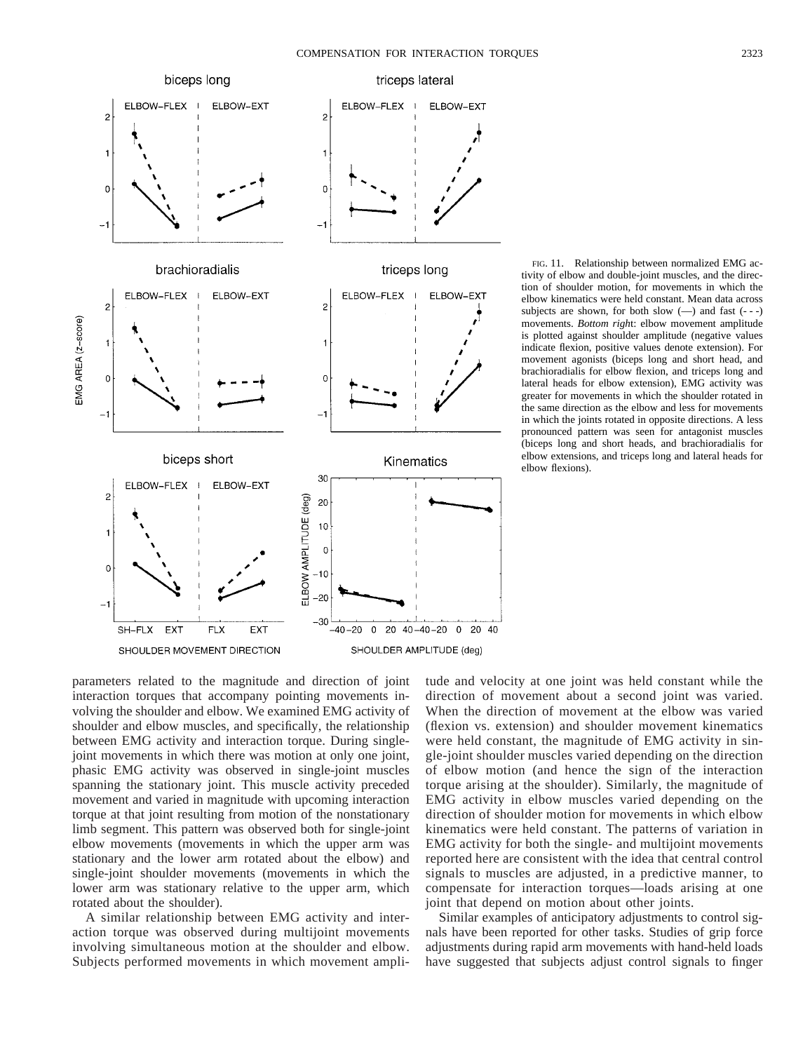

FIG. 11. Relationship between normalized EMG activity of elbow and double-joint muscles, and the direction of shoulder motion, for movements in which the elbow kinematics were held constant. Mean data across subjects are shown, for both slow  $(-)$  and fast  $(- -)$ movements. *Bottom righ*t: elbow movement amplitude is plotted against shoulder amplitude (negative values indicate flexion, positive values denote extension). For movement agonists (biceps long and short head, and brachioradialis for elbow flexion, and triceps long and lateral heads for elbow extension), EMG activity was greater for movements in which the shoulder rotated in the same direction as the elbow and less for movements in which the joints rotated in opposite directions. A less pronounced pattern was seen for antagonist muscles (biceps long and short heads, and brachioradialis for elbow extensions, and triceps long and lateral heads for elbow flexions).

parameters related to the magnitude and direction of joint interaction torques that accompany pointing movements involving the shoulder and elbow. We examined EMG activity of shoulder and elbow muscles, and specifically, the relationship between EMG activity and interaction torque. During singlejoint movements in which there was motion at only one joint, phasic EMG activity was observed in single-joint muscles spanning the stationary joint. This muscle activity preceded movement and varied in magnitude with upcoming interaction torque at that joint resulting from motion of the nonstationary limb segment. This pattern was observed both for single-joint elbow movements (movements in which the upper arm was stationary and the lower arm rotated about the elbow) and single-joint shoulder movements (movements in which the lower arm was stationary relative to the upper arm, which rotated about the shoulder).

A similar relationship between EMG activity and interaction torque was observed during multijoint movements involving simultaneous motion at the shoulder and elbow. Subjects performed movements in which movement amplitude and velocity at one joint was held constant while the direction of movement about a second joint was varied. When the direction of movement at the elbow was varied (flexion vs. extension) and shoulder movement kinematics were held constant, the magnitude of EMG activity in single-joint shoulder muscles varied depending on the direction of elbow motion (and hence the sign of the interaction torque arising at the shoulder). Similarly, the magnitude of EMG activity in elbow muscles varied depending on the direction of shoulder motion for movements in which elbow kinematics were held constant. The patterns of variation in EMG activity for both the single- and multijoint movements reported here are consistent with the idea that central control signals to muscles are adjusted, in a predictive manner, to compensate for interaction torques—loads arising at one joint that depend on motion about other joints.

Similar examples of anticipatory adjustments to control signals have been reported for other tasks. Studies of grip force adjustments during rapid arm movements with hand-held loads have suggested that subjects adjust control signals to finger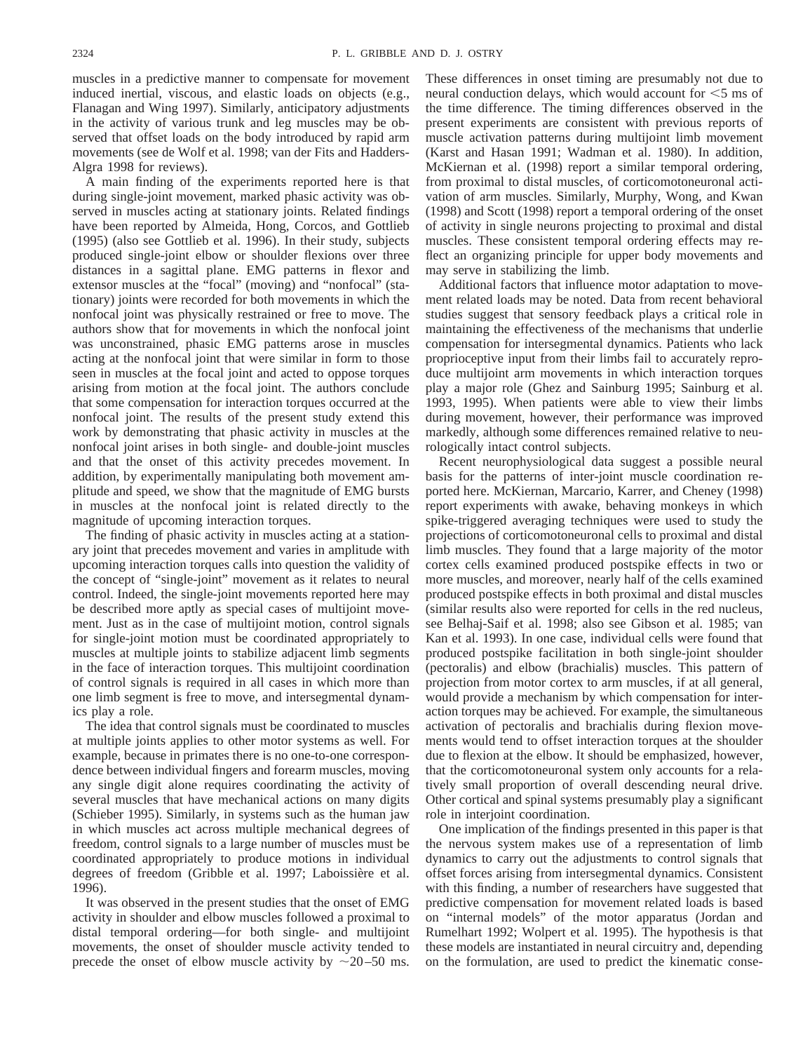muscles in a predictive manner to compensate for movement induced inertial, viscous, and elastic loads on objects (e.g., Flanagan and Wing 1997). Similarly, anticipatory adjustments in the activity of various trunk and leg muscles may be observed that offset loads on the body introduced by rapid arm movements (see de Wolf et al. 1998; van der Fits and Hadders-Algra 1998 for reviews).

A main finding of the experiments reported here is that during single-joint movement, marked phasic activity was observed in muscles acting at stationary joints. Related findings have been reported by Almeida, Hong, Corcos, and Gottlieb (1995) (also see Gottlieb et al. 1996). In their study, subjects produced single-joint elbow or shoulder flexions over three distances in a sagittal plane. EMG patterns in flexor and extensor muscles at the "focal" (moving) and "nonfocal" (stationary) joints were recorded for both movements in which the nonfocal joint was physically restrained or free to move. The authors show that for movements in which the nonfocal joint was unconstrained, phasic EMG patterns arose in muscles acting at the nonfocal joint that were similar in form to those seen in muscles at the focal joint and acted to oppose torques arising from motion at the focal joint. The authors conclude that some compensation for interaction torques occurred at the nonfocal joint. The results of the present study extend this work by demonstrating that phasic activity in muscles at the nonfocal joint arises in both single- and double-joint muscles and that the onset of this activity precedes movement. In addition, by experimentally manipulating both movement amplitude and speed, we show that the magnitude of EMG bursts in muscles at the nonfocal joint is related directly to the magnitude of upcoming interaction torques.

The finding of phasic activity in muscles acting at a stationary joint that precedes movement and varies in amplitude with upcoming interaction torques calls into question the validity of the concept of "single-joint" movement as it relates to neural control. Indeed, the single-joint movements reported here may be described more aptly as special cases of multijoint movement. Just as in the case of multijoint motion, control signals for single-joint motion must be coordinated appropriately to muscles at multiple joints to stabilize adjacent limb segments in the face of interaction torques. This multijoint coordination of control signals is required in all cases in which more than one limb segment is free to move, and intersegmental dynamics play a role.

The idea that control signals must be coordinated to muscles at multiple joints applies to other motor systems as well. For example, because in primates there is no one-to-one correspondence between individual fingers and forearm muscles, moving any single digit alone requires coordinating the activity of several muscles that have mechanical actions on many digits (Schieber 1995). Similarly, in systems such as the human jaw in which muscles act across multiple mechanical degrees of freedom, control signals to a large number of muscles must be coordinated appropriately to produce motions in individual degrees of freedom (Gribble et al. 1997; Laboissière et al. 1996).

It was observed in the present studies that the onset of EMG activity in shoulder and elbow muscles followed a proximal to distal temporal ordering—for both single- and multijoint movements, the onset of shoulder muscle activity tended to precede the onset of elbow muscle activity by  $\sim$ 20–50 ms.

These differences in onset timing are presumably not due to neural conduction delays, which would account for  $\leq$  5 ms of the time difference. The timing differences observed in the present experiments are consistent with previous reports of muscle activation patterns during multijoint limb movement (Karst and Hasan 1991; Wadman et al. 1980). In addition, McKiernan et al. (1998) report a similar temporal ordering, from proximal to distal muscles, of corticomotoneuronal activation of arm muscles. Similarly, Murphy, Wong, and Kwan (1998) and Scott (1998) report a temporal ordering of the onset of activity in single neurons projecting to proximal and distal muscles. These consistent temporal ordering effects may reflect an organizing principle for upper body movements and may serve in stabilizing the limb.

Additional factors that influence motor adaptation to movement related loads may be noted. Data from recent behavioral studies suggest that sensory feedback plays a critical role in maintaining the effectiveness of the mechanisms that underlie compensation for intersegmental dynamics. Patients who lack proprioceptive input from their limbs fail to accurately reproduce multijoint arm movements in which interaction torques play a major role (Ghez and Sainburg 1995; Sainburg et al. 1993, 1995). When patients were able to view their limbs during movement, however, their performance was improved markedly, although some differences remained relative to neurologically intact control subjects.

Recent neurophysiological data suggest a possible neural basis for the patterns of inter-joint muscle coordination reported here. McKiernan, Marcario, Karrer, and Cheney (1998) report experiments with awake, behaving monkeys in which spike-triggered averaging techniques were used to study the projections of corticomotoneuronal cells to proximal and distal limb muscles. They found that a large majority of the motor cortex cells examined produced postspike effects in two or more muscles, and moreover, nearly half of the cells examined produced postspike effects in both proximal and distal muscles (similar results also were reported for cells in the red nucleus, see Belhaj-Saif et al. 1998; also see Gibson et al. 1985; van Kan et al. 1993). In one case, individual cells were found that produced postspike facilitation in both single-joint shoulder (pectoralis) and elbow (brachialis) muscles. This pattern of projection from motor cortex to arm muscles, if at all general, would provide a mechanism by which compensation for interaction torques may be achieved. For example, the simultaneous activation of pectoralis and brachialis during flexion movements would tend to offset interaction torques at the shoulder due to flexion at the elbow. It should be emphasized, however, that the corticomotoneuronal system only accounts for a relatively small proportion of overall descending neural drive. Other cortical and spinal systems presumably play a significant role in interjoint coordination.

One implication of the findings presented in this paper is that the nervous system makes use of a representation of limb dynamics to carry out the adjustments to control signals that offset forces arising from intersegmental dynamics. Consistent with this finding, a number of researchers have suggested that predictive compensation for movement related loads is based on "internal models" of the motor apparatus (Jordan and Rumelhart 1992; Wolpert et al. 1995). The hypothesis is that these models are instantiated in neural circuitry and, depending on the formulation, are used to predict the kinematic conse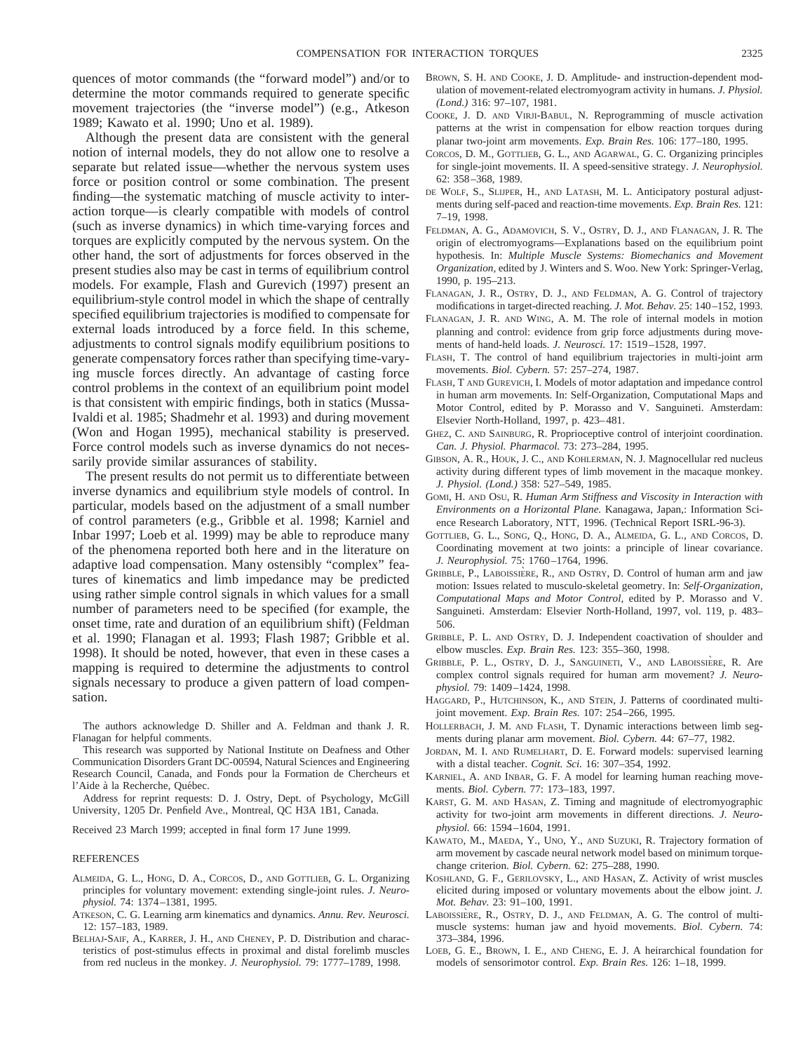quences of motor commands (the "forward model") and/or to determine the motor commands required to generate specific movement trajectories (the "inverse model") (e.g., Atkeson 1989; Kawato et al. 1990; Uno et al. 1989).

Although the present data are consistent with the general notion of internal models, they do not allow one to resolve a separate but related issue—whether the nervous system uses force or position control or some combination. The present finding—the systematic matching of muscle activity to interaction torque—is clearly compatible with models of control (such as inverse dynamics) in which time-varying forces and torques are explicitly computed by the nervous system. On the other hand, the sort of adjustments for forces observed in the present studies also may be cast in terms of equilibrium control models. For example, Flash and Gurevich (1997) present an equilibrium-style control model in which the shape of centrally specified equilibrium trajectories is modified to compensate for external loads introduced by a force field. In this scheme, adjustments to control signals modify equilibrium positions to generate compensatory forces rather than specifying time-varying muscle forces directly. An advantage of casting force control problems in the context of an equilibrium point model is that consistent with empiric findings, both in statics (Mussa-Ivaldi et al. 1985; Shadmehr et al. 1993) and during movement (Won and Hogan 1995), mechanical stability is preserved. Force control models such as inverse dynamics do not necessarily provide similar assurances of stability.

The present results do not permit us to differentiate between inverse dynamics and equilibrium style models of control. In particular, models based on the adjustment of a small number of control parameters (e.g., Gribble et al. 1998; Karniel and Inbar 1997; Loeb et al. 1999) may be able to reproduce many of the phenomena reported both here and in the literature on adaptive load compensation. Many ostensibly "complex" features of kinematics and limb impedance may be predicted using rather simple control signals in which values for a small number of parameters need to be specified (for example, the onset time, rate and duration of an equilibrium shift) (Feldman et al. 1990; Flanagan et al. 1993; Flash 1987; Gribble et al. 1998). It should be noted, however, that even in these cases a mapping is required to determine the adjustments to control signals necessary to produce a given pattern of load compensation.

The authors acknowledge D. Shiller and A. Feldman and thank J. R. Flanagan for helpful comments.

This research was supported by National Institute on Deafness and Other Communication Disorders Grant DC-00594, Natural Sciences and Engineering Research Council, Canada, and Fonds pour la Formation de Chercheurs et l'Aide à la Recherche, Québec.

Address for reprint requests: D. J. Ostry, Dept. of Psychology, McGill University, 1205 Dr. Penfield Ave., Montreal, QC H3A 1B1, Canada.

Received 23 March 1999; accepted in final form 17 June 1999.

#### REFERENCES

- ALMEIDA, G. L., HONG, D. A., CORCOS, D., AND GOTTLIEB, G. L. Organizing principles for voluntary movement: extending single-joint rules. *J. Neurophysiol.* 74: 1374–1381, 1995.
- ATKESON, C. G. Learning arm kinematics and dynamics. *Annu. Rev. Neurosci.* 12: 157–183, 1989.
- BELHAJ-SAIF, A., KARRER, J. H., AND CHENEY, P. D. Distribution and characteristics of post-stimulus effects in proximal and distal forelimb muscles from red nucleus in the monkey. *J. Neurophysiol.* 79: 1777–1789, 1998.
- BROWN, S. H. AND COOKE, J. D. Amplitude- and instruction-dependent modulation of movement-related electromyogram activity in humans. *J. Physiol. (Lond.)* 316: 97–107, 1981.
- COOKE, J. D. AND VIRJI-BABUL, N. Reprogramming of muscle activation patterns at the wrist in compensation for elbow reaction torques during planar two-joint arm movements. *Exp. Brain Res.* 106: 177–180, 1995.
- CORCOS, D. M., GOTTLIEB, G. L., AND AGARWAL, G. C. Organizing principles for single-joint movements. II. A speed-sensitive strategy. *J. Neurophysiol.* 62: 358–368, 1989.
- DE WOLF, S., SLIJPER, H., AND LATASH, M. L. Anticipatory postural adjustments during self-paced and reaction-time movements. *Exp. Brain Res.* 121: 7–19, 1998.
- FELDMAN, A. G., ADAMOVICH, S. V., OSTRY, D. J., AND FLANAGAN, J. R. The origin of electromyograms—Explanations based on the equilibrium point hypothesis. In: *Multiple Muscle Systems: Biomechanics and Movement Organization,* edited by J. Winters and S. Woo. New York: Springer-Verlag, 1990, p. 195–213.
- FLANAGAN, J. R., OSTRY, D. J., AND FELDMAN, A. G. Control of trajectory modifications in target-directed reaching. *J. Mot. Behav.* 25: 140–152, 1993.
- FLANAGAN, J. R. AND WING, A. M. The role of internal models in motion planning and control: evidence from grip force adjustments during movements of hand-held loads. *J. Neurosci.* 17: 1519–1528, 1997.
- FLASH, T. The control of hand equilibrium trajectories in multi-joint arm movements. *Biol. Cybern.* 57: 257–274, 1987.
- FLASH, T AND GUREVICH, I. Models of motor adaptation and impedance control in human arm movements. In: Self-Organization, Computational Maps and Motor Control, edited by P. Morasso and V. Sanguineti. Amsterdam: Elsevier North-Holland, 1997, p. 423–481.
- GHEZ, C. AND SAINBURG, R. Proprioceptive control of interjoint coordination. *Can. J. Physiol. Pharmacol.* 73: 273–284, 1995.
- GIBSON, A. R., HOUK, J. C., AND KOHLERMAN, N. J. Magnocellular red nucleus activity during different types of limb movement in the macaque monkey. *J. Physiol. (Lond.)* 358: 527–549, 1985.
- GOMI, H. AND OSU, R. *Human Arm Stiffness and Viscosity in Interaction with Environments on a Horizontal Plane.* Kanagawa, Japan,: Information Science Research Laboratory, NTT, 1996. (Technical Report ISRL*-*96-3).
- GOTTLIEB, G. L., SONG, Q., HONG, D. A., ALMEIDA, G. L., AND CORCOS, D. Coordinating movement at two joints: a principle of linear covariance. *J. Neurophysiol.* 75: 1760–1764, 1996.
- GRIBBLE, P., LABOISSIERE, R., AND OSTRY, D. Control of human arm and jaw motion: Issues related to musculo-skeletal geometry. In: *Self-Organization, Computational Maps and Motor Control,* edited by P. Morasso and V. Sanguineti. Amsterdam: Elsevier North-Holland, 1997, vol. 119, p. 483– 506.
- GRIBBLE, P. L. AND OSTRY, D. J. Independent coactivation of shoulder and elbow muscles. *Exp. Brain Res.* 123: 355–360, 1998.
- GRIBBLE, P. L., OSTRY, D. J., SANGUINETI, V., AND LABOISSIERE, R. Are complex control signals required for human arm movement? *J. Neurophysiol.* 79: 1409–1424, 1998.
- HAGGARD, P., HUTCHINSON, K., AND STEIN, J. Patterns of coordinated multijoint movement. *Exp. Brain Res.* 107: 254–266, 1995.
- HOLLERBACH, J. M. AND FLASH, T. Dynamic interactions between limb segments during planar arm movement. *Biol. Cybern.* 44: 67–77, 1982.
- JORDAN, M. I. AND RUMELHART, D. E. Forward models: supervised learning with a distal teacher. *Cognit. Sci.* 16: 307–354, 1992.
- KARNIEL, A. AND INBAR, G. F. A model for learning human reaching movements. *Biol. Cybern.* 77: 173–183, 1997.
- KARST, G. M. AND HASAN, Z. Timing and magnitude of electromyographic activity for two-joint arm movements in different directions. *J. Neurophysiol.* 66: 1594–1604, 1991.
- KAWATO, M., MAEDA, Y., UNO, Y., AND SUZUKI, R. Trajectory formation of arm movement by cascade neural network model based on minimum torquechange criterion. *Biol. Cybern.* 62: 275–288, 1990.
- KOSHLAND, G. F., GERILOVSKY, L., AND HASAN, Z. Activity of wrist muscles elicited during imposed or voluntary movements about the elbow joint. *J. Mot. Behav.* 23: 91–100, 1991.
- LABOISSIERE, R., OSTRY, D. J., AND FELDMAN, A. G. The control of multimuscle systems: human jaw and hyoid movements. *Biol. Cybern.* 74: 373–384, 1996.
- LOEB, G. E., BROWN, I. E., AND CHENG, E. J. A heirarchical foundation for models of sensorimotor control. *Exp. Brain Res.* 126: 1–18, 1999.